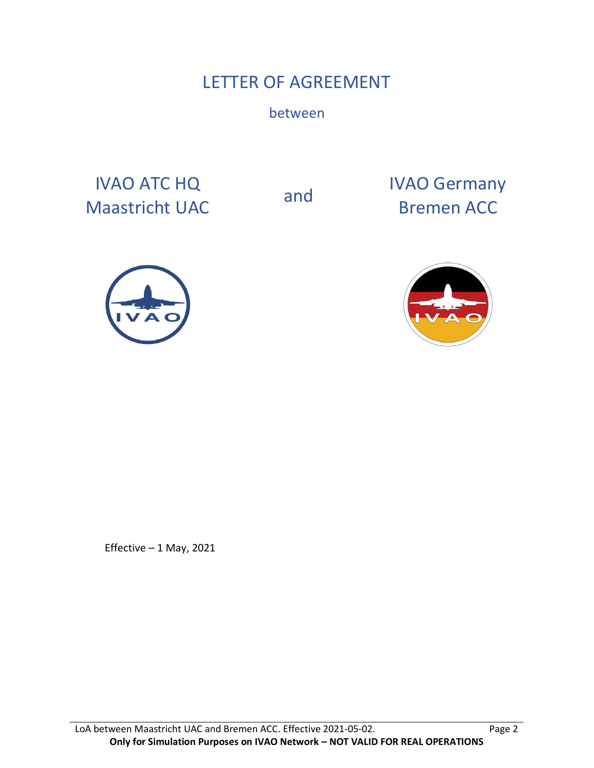# LETTER OF AGREEMENT

between

IVAO ATC HQ IVAO ATC HQ<br>
Maastricht UAC and Bremen ACC

Bremen ACC





Effective – 1 May, 2021

LoA between Maastricht UAC and Bremen ACC. Effective 2021-05-02. Page 2 **Only for Simulation Purposes on IVAO Network – NOT VALID FOR REAL OPERATIONS**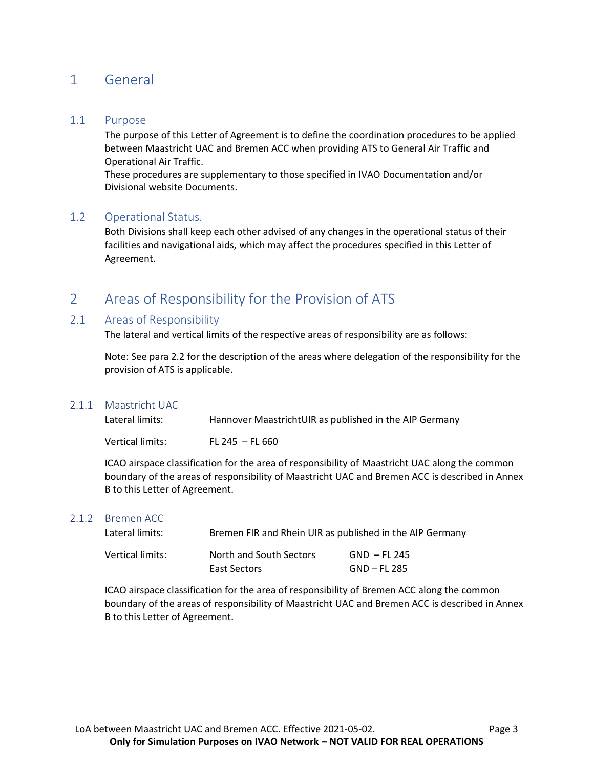## 1 General

#### 1.1 Purpose

The purpose of this Letter of Agreement is to define the coordination procedures to be applied between Maastricht UAC and Bremen ACC when providing ATS to General Air Traffic and Operational Air Traffic.

These procedures are supplementary to those specified in IVAO Documentation and/or Divisional website Documents.

#### 1.2 Operational Status.

Both Divisions shall keep each other advised of any changes in the operational status of their facilities and navigational aids, which may affect the procedures specified in this Letter of Agreement.

## 2 Areas of Responsibility for the Provision of ATS

#### 2.1 Areas of Responsibility

The lateral and vertical limits of the respective areas of responsibility are as follows:

Note: See para 2.2 for the description of the areas where delegation of the responsibility for the provision of ATS is applicable.

#### 2.1.1 Maastricht UAC

| Lateral limits:  | Hannover MaastrichtUIR as published in the AIP Germany |
|------------------|--------------------------------------------------------|
| Vertical limits: | FL 245 $-$ FL 660                                      |

ICAO airspace classification for the area of responsibility of Maastricht UAC along the common boundary of the areas of responsibility of Maastricht UAC and Bremen ACC is described in Annex B to this Letter of Agreement.

#### 2.1.2 Bremen ACC

| Lateral limits:  | Bremen FIR and Rhein UIR as published in the AIP Germany |                              |  |  |  |
|------------------|----------------------------------------------------------|------------------------------|--|--|--|
| Vertical limits: | North and South Sectors<br>East Sectors                  | GND – FL 245<br>GND – FL 285 |  |  |  |

ICAO airspace classification for the area of responsibility of Bremen ACC along the common boundary of the areas of responsibility of Maastricht UAC and Bremen ACC is described in Annex B to this Letter of Agreement.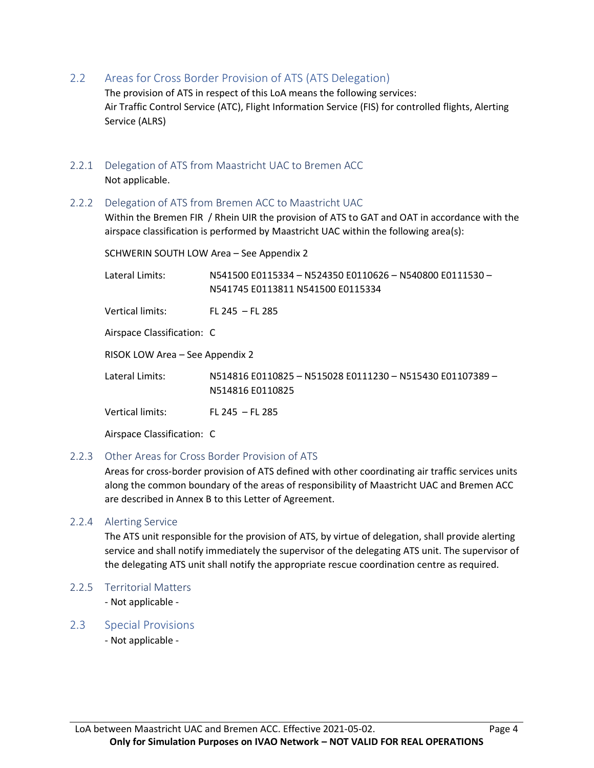2.2 Areas for Cross Border Provision of ATS (ATS Delegation)

The provision of ATS in respect of this LoA means the following services: Air Traffic Control Service (ATC), Flight Information Service (FIS) for controlled flights, Alerting Service (ALRS)

- 2.2.1 Delegation of ATS from Maastricht UAC to Bremen ACC Not applicable.
- 2.2.2 Delegation of ATS from Bremen ACC to Maastricht UAC

Within the Bremen FIR / Rhein UIR the provision of ATS to GAT and OAT in accordance with the airspace classification is performed by Maastricht UAC within the following area(s):

SCHWERIN SOUTH LOW Area – See Appendix 2

Lateral Limits: N541500 E0115334 – N524350 E0110626 – N540800 E0111530 – N541745 E0113811 N541500 E0115334

Vertical limits: FL 245 – FL 285

Airspace Classification: C

RISOK LOW Area – See Appendix 2

Lateral Limits: N514816 E0110825 – N515028 E0111230 – N515430 E01107389 – N514816 E0110825

Vertical limits: FL 245 – FL 285

Airspace Classification: C

#### 2.2.3 Other Areas for Cross Border Provision of ATS

Areas for cross-border provision of ATS defined with other coordinating air traffic services units along the common boundary of the areas of responsibility of Maastricht UAC and Bremen ACC are described in Annex B to this Letter of Agreement.

#### 2.2.4 Alerting Service

The ATS unit responsible for the provision of ATS, by virtue of delegation, shall provide alerting service and shall notify immediately the supervisor of the delegating ATS unit. The supervisor of the delegating ATS unit shall notify the appropriate rescue coordination centre as required.

2.2.5 Territorial Matters

- Not applicable -

2.3 Special Provisions

- Not applicable -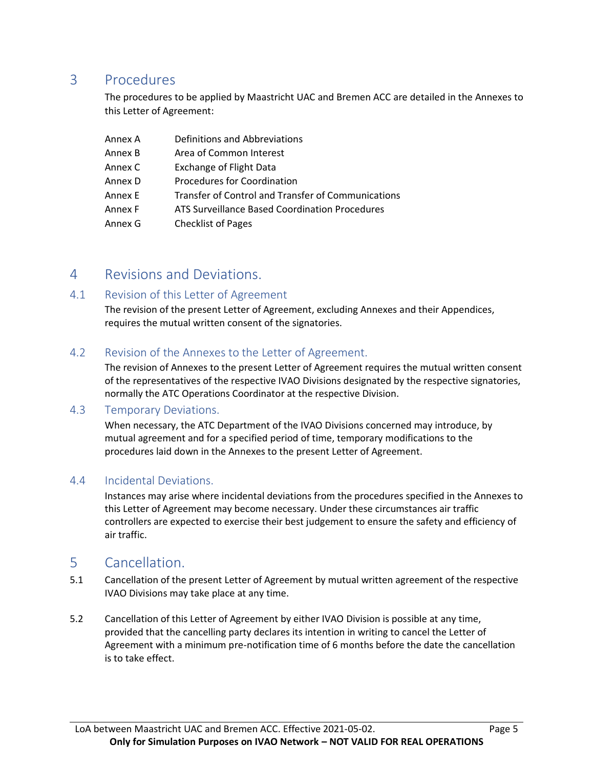## 3 Procedures

The procedures to be applied by Maastricht UAC and Bremen ACC are detailed in the Annexes to this Letter of Agreement:

| Annex A | Definitions and Abbreviations                      |
|---------|----------------------------------------------------|
| Annex B | Area of Common Interest                            |
| Annex C | <b>Exchange of Flight Data</b>                     |
| Annex D | Procedures for Coordination                        |
| Annex E | Transfer of Control and Transfer of Communications |
| Annex F | ATS Surveillance Based Coordination Procedures     |
| Annex G | <b>Checklist of Pages</b>                          |

### 4 Revisions and Deviations.

### 4.1 Revision of this Letter of Agreement

The revision of the present Letter of Agreement, excluding Annexes and their Appendices, requires the mutual written consent of the signatories.

### 4.2 Revision of the Annexes to the Letter of Agreement.

The revision of Annexes to the present Letter of Agreement requires the mutual written consent of the representatives of the respective IVAO Divisions designated by the respective signatories, normally the ATC Operations Coordinator at the respective Division.

### 4.3 Temporary Deviations.

When necessary, the ATC Department of the IVAO Divisions concerned may introduce, by mutual agreement and for a specified period of time, temporary modifications to the procedures laid down in the Annexes to the present Letter of Agreement.

### 4.4 Incidental Deviations.

Instances may arise where incidental deviations from the procedures specified in the Annexes to this Letter of Agreement may become necessary. Under these circumstances air traffic controllers are expected to exercise their best judgement to ensure the safety and efficiency of air traffic.

### 5 Cancellation.

- 5.1 Cancellation of the present Letter of Agreement by mutual written agreement of the respective IVAO Divisions may take place at any time.
- 5.2 Cancellation of this Letter of Agreement by either IVAO Division is possible at any time, provided that the cancelling party declares its intention in writing to cancel the Letter of Agreement with a minimum pre-notification time of 6 months before the date the cancellation is to take effect.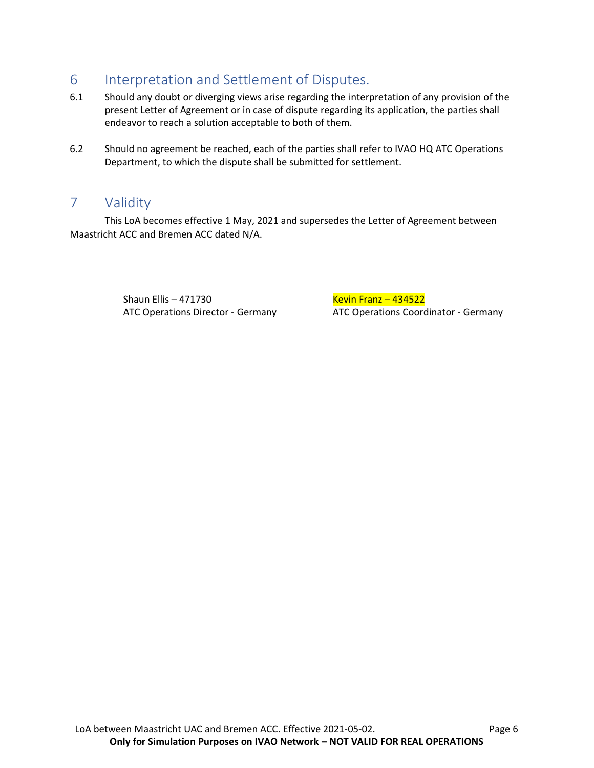# 6 Interpretation and Settlement of Disputes.

- 6.1 Should any doubt or diverging views arise regarding the interpretation of any provision of the present Letter of Agreement or in case of dispute regarding its application, the parties shall endeavor to reach a solution acceptable to both of them.
- 6.2 Should no agreement be reached, each of the parties shall refer to IVAO HQ ATC Operations Department, to which the dispute shall be submitted for settlement.

## 7 Validity

This LoA becomes effective 1 May, 2021 and supersedes the Letter of Agreement between Maastricht ACC and Bremen ACC dated N/A.

Shaun Ellis – 471730 Kevin Franz – 434522

ATC Operations Director - Germany ATC Operations Coordinator - Germany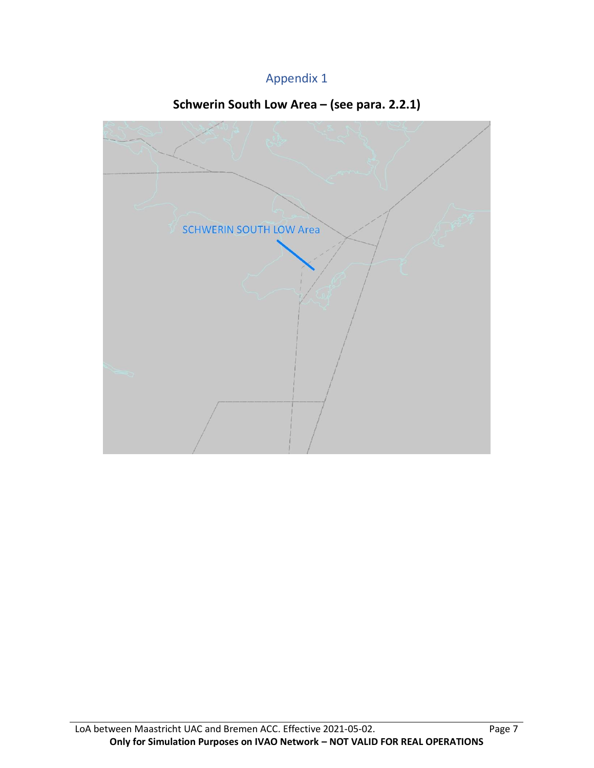## Appendix 1

# **Schwerin South Low Area – (see para. 2.2.1)**

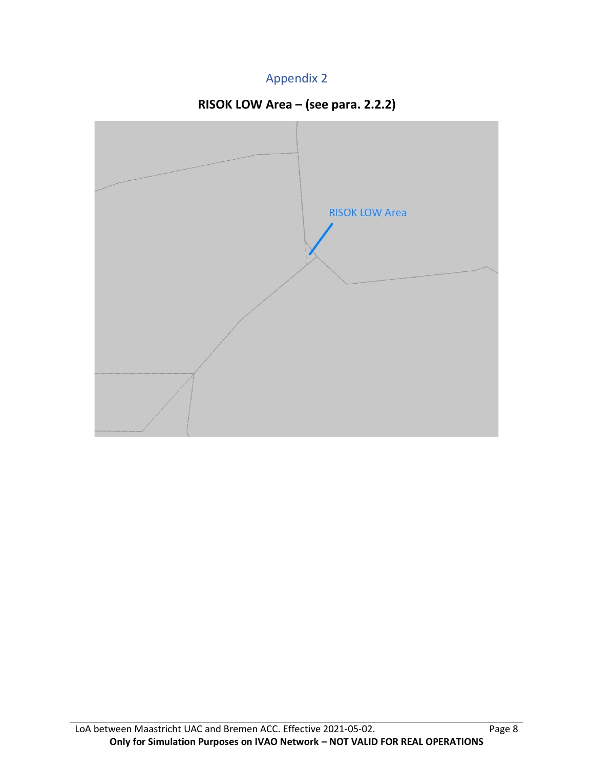## Appendix 2



# **RISOK LOW Area – (see para. 2.2.2)**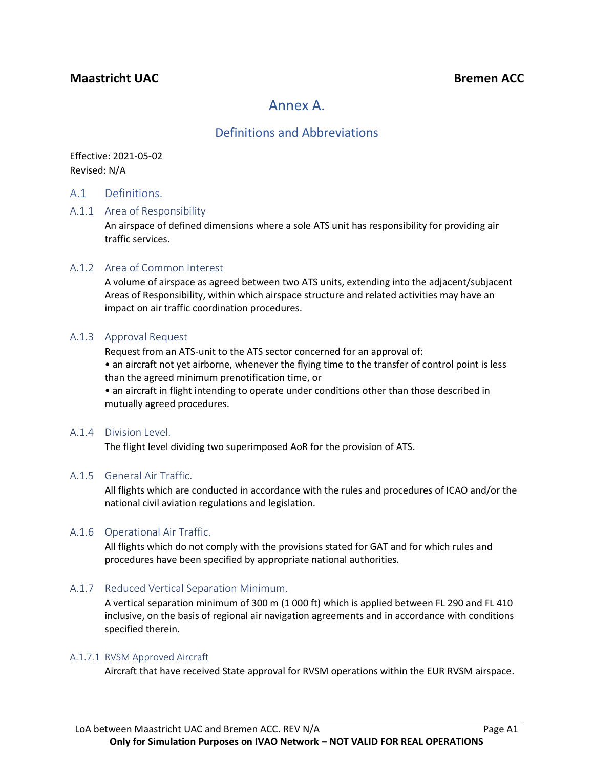### **Maastricht** UAC<sup>2</sup> **Bremen ACC**

## Annex A.

### Definitions and Abbreviations

Effective: 2021-05-02 Revised: N/A

#### A.1 Definitions.

#### A.1.1 Area of Responsibility

An airspace of defined dimensions where a sole ATS unit has responsibility for providing air traffic services.

#### A.1.2 Area of Common Interest

A volume of airspace as agreed between two ATS units, extending into the adjacent/subjacent Areas of Responsibility, within which airspace structure and related activities may have an impact on air traffic coordination procedures.

#### A.1.3 Approval Request

Request from an ATS-unit to the ATS sector concerned for an approval of:

• an aircraft not yet airborne, whenever the flying time to the transfer of control point is less than the agreed minimum prenotification time, or

• an aircraft in flight intending to operate under conditions other than those described in mutually agreed procedures.

#### A.1.4 Division Level.

The flight level dividing two superimposed AoR for the provision of ATS.

#### A.1.5 General Air Traffic.

All flights which are conducted in accordance with the rules and procedures of ICAO and/or the national civil aviation regulations and legislation.

#### A.1.6 Operational Air Traffic.

All flights which do not comply with the provisions stated for GAT and for which rules and procedures have been specified by appropriate national authorities.

#### A.1.7 Reduced Vertical Separation Minimum.

A vertical separation minimum of 300 m (1 000 ft) which is applied between FL 290 and FL 410 inclusive, on the basis of regional air navigation agreements and in accordance with conditions specified therein.

#### A.1.7.1 RVSM Approved Aircraft

Aircraft that have received State approval for RVSM operations within the EUR RVSM airspace.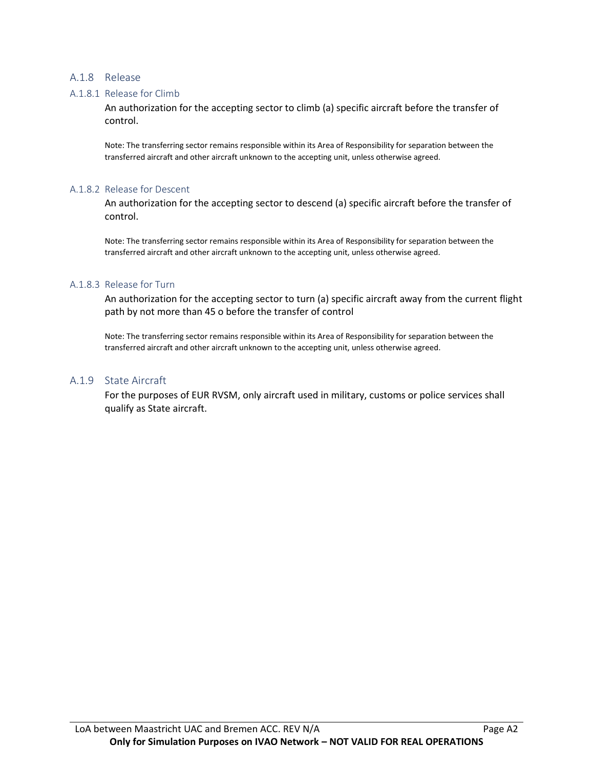#### A.1.8 Release

#### A.1.8.1 Release for Climb

An authorization for the accepting sector to climb (a) specific aircraft before the transfer of control.

Note: The transferring sector remains responsible within its Area of Responsibility for separation between the transferred aircraft and other aircraft unknown to the accepting unit, unless otherwise agreed.

#### A.1.8.2 Release for Descent

An authorization for the accepting sector to descend (a) specific aircraft before the transfer of control.

Note: The transferring sector remains responsible within its Area of Responsibility for separation between the transferred aircraft and other aircraft unknown to the accepting unit, unless otherwise agreed.

#### A.1.8.3 Release for Turn

An authorization for the accepting sector to turn (a) specific aircraft away from the current flight path by not more than 45 o before the transfer of control

Note: The transferring sector remains responsible within its Area of Responsibility for separation between the transferred aircraft and other aircraft unknown to the accepting unit, unless otherwise agreed.

#### A.1.9 State Aircraft

For the purposes of EUR RVSM, only aircraft used in military, customs or police services shall qualify as State aircraft.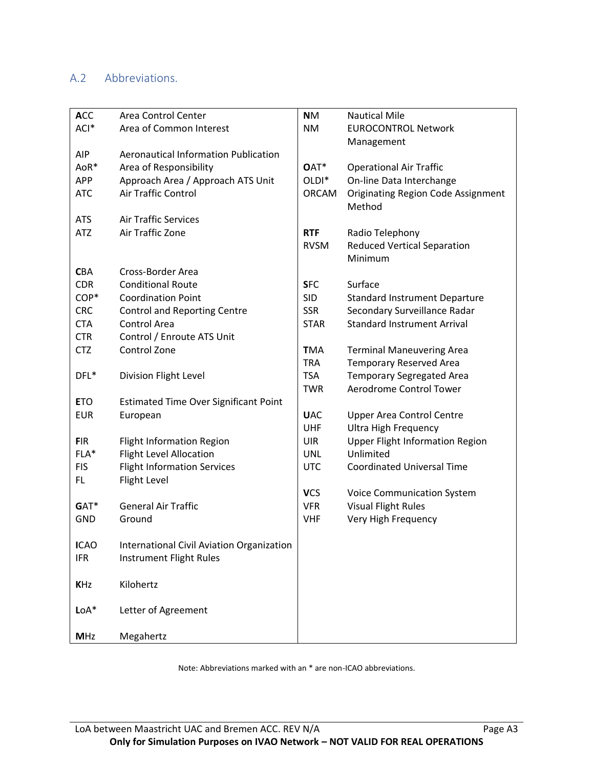### A.2 Abbreviations.

| <b>ACC</b>  | Area Control Center                          | <b>NM</b>         | <b>Nautical Mile</b>                      |
|-------------|----------------------------------------------|-------------------|-------------------------------------------|
| ACI*        | Area of Common Interest                      | <b>NM</b>         | <b>EUROCONTROL Network</b>                |
|             |                                              |                   | Management                                |
| <b>AIP</b>  | <b>Aeronautical Information Publication</b>  |                   |                                           |
| AoR*        | Area of Responsibility                       | OAT*              | <b>Operational Air Traffic</b>            |
| <b>APP</b>  | Approach Area / Approach ATS Unit            | OLDI <sup>*</sup> | On-line Data Interchange                  |
| <b>ATC</b>  | Air Traffic Control                          | <b>ORCAM</b>      | <b>Originating Region Code Assignment</b> |
|             |                                              |                   | Method                                    |
| <b>ATS</b>  | <b>Air Traffic Services</b>                  |                   |                                           |
| <b>ATZ</b>  | Air Traffic Zone                             | <b>RTF</b>        | Radio Telephony                           |
|             |                                              | <b>RVSM</b>       | <b>Reduced Vertical Separation</b>        |
|             |                                              |                   | Minimum                                   |
| <b>CBA</b>  | Cross-Border Area                            |                   |                                           |
| <b>CDR</b>  | <b>Conditional Route</b>                     | <b>SFC</b>        | Surface                                   |
| COP*        | <b>Coordination Point</b>                    | <b>SID</b>        | <b>Standard Instrument Departure</b>      |
| <b>CRC</b>  | <b>Control and Reporting Centre</b>          | <b>SSR</b>        | Secondary Surveillance Radar              |
| <b>CTA</b>  | Control Area                                 | <b>STAR</b>       | <b>Standard Instrument Arrival</b>        |
| <b>CTR</b>  | Control / Enroute ATS Unit                   |                   |                                           |
| <b>CTZ</b>  | Control Zone                                 | <b>TMA</b>        | <b>Terminal Maneuvering Area</b>          |
|             |                                              | <b>TRA</b>        | <b>Temporary Reserved Area</b>            |
| DFL*        | Division Flight Level                        | <b>TSA</b>        | <b>Temporary Segregated Area</b>          |
|             |                                              | <b>TWR</b>        | Aerodrome Control Tower                   |
| <b>ETO</b>  | <b>Estimated Time Over Significant Point</b> |                   |                                           |
| <b>EUR</b>  | European                                     | <b>UAC</b>        | <b>Upper Area Control Centre</b>          |
|             |                                              | UHF               | <b>Ultra High Frequency</b>               |
| <b>FIR</b>  | <b>Flight Information Region</b>             | <b>UIR</b>        | <b>Upper Flight Information Region</b>    |
| FLA*        | <b>Flight Level Allocation</b>               | <b>UNL</b>        | Unlimited                                 |
| <b>FIS</b>  | <b>Flight Information Services</b>           | <b>UTC</b>        | <b>Coordinated Universal Time</b>         |
| FL.         | Flight Level                                 |                   |                                           |
|             |                                              | <b>VCS</b>        | <b>Voice Communication System</b>         |
| GAT*        | <b>General Air Traffic</b>                   | <b>VFR</b>        | <b>Visual Flight Rules</b>                |
| <b>GND</b>  | Ground                                       | <b>VHF</b>        | Very High Frequency                       |
|             |                                              |                   |                                           |
| <b>ICAO</b> | International Civil Aviation Organization    |                   |                                           |
| <b>IFR</b>  | Instrument Flight Rules                      |                   |                                           |
|             |                                              |                   |                                           |
| <b>KHz</b>  | Kilohertz                                    |                   |                                           |
|             |                                              |                   |                                           |
| $LoA*$      | Letter of Agreement                          |                   |                                           |
|             |                                              |                   |                                           |
| <b>MHz</b>  | Megahertz                                    |                   |                                           |

Note: Abbreviations marked with an \* are non-ICAO abbreviations.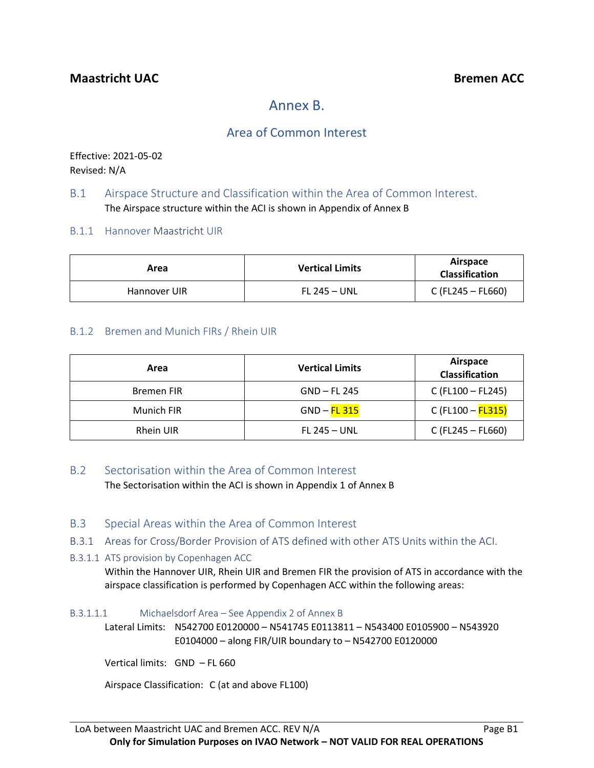# Annex B.

### Area of Common Interest

Effective: 2021-05-02 Revised: N/A

### B.1 Airspace Structure and Classification within the Area of Common Interest. The Airspace structure within the ACI is shown in Appendix of Annex B

B.1.1 Hannover Maastricht UIR

| Area         | <b>Vertical Limits</b> | Airspace<br><b>Classification</b> |
|--------------|------------------------|-----------------------------------|
| Hannover UIR | <b>FL 245 – UNL</b>    | C (FL245 – FL660)                 |

### B.1.2 Bremen and Munich FIRs / Rhein UIR

| Area              | <b>Vertical Limits</b> | Airspace<br><b>Classification</b> |
|-------------------|------------------------|-----------------------------------|
| <b>Bremen FIR</b> | GND – FL 245           | C (FL100 - FL245)                 |
| Munich FIR        | $GND - FL$ 315         | C (FL100 - FL315)                 |
| Rhein UIR         | <b>FL 245 - UNL</b>    | $C$ (FL245 – FL660)               |

### B.2 Sectorisation within the Area of Common Interest

The Sectorisation within the ACI is shown in Appendix 1 of Annex B

- B.3 Special Areas within the Area of Common Interest
- B.3.1 Areas for Cross/Border Provision of ATS defined with other ATS Units within the ACI.
- B.3.1.1 ATS provision by Copenhagen ACC

Within the Hannover UIR, Rhein UIR and Bremen FIR the provision of ATS in accordance with the airspace classification is performed by Copenhagen ACC within the following areas:

B.3.1.1.1 Michaelsdorf Area – See Appendix 2 of Annex B

Lateral Limits: N542700 E0120000 – N541745 E0113811 – N543400 E0105900 – N543920 E0104000 – along FIR/UIR boundary to – N542700 E0120000

Vertical limits: GND – FL 660

Airspace Classification: C (at and above FL100)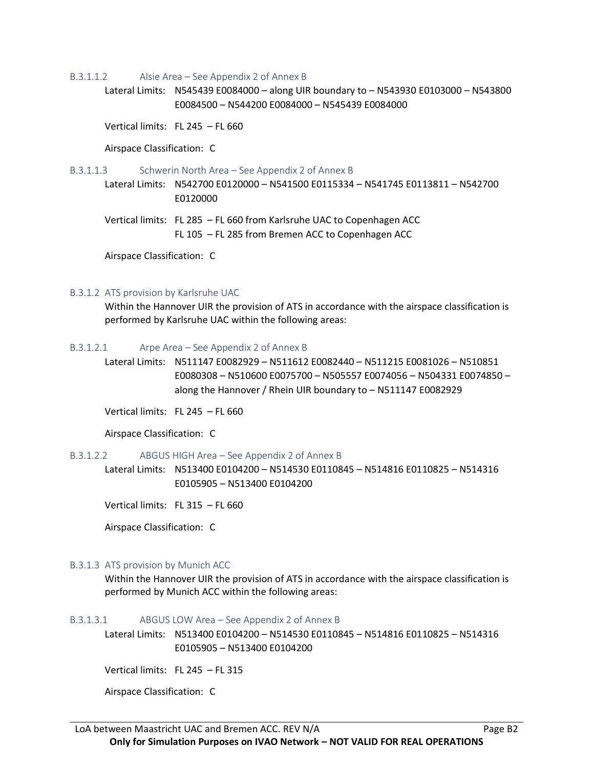#### B.3.1.1.2 Alsie Area – See Appendix 2 of Annex B

Lateral Limits: N545439 E0084000 – along UIR boundary to – N543930 E0103000 – N543800 E0084500 – N544200 E0084000 – N545439 E0084000

Vertical limits: FL 245 – FL 660

Airspace Classification: C

B.3.1.1.3 Schwerin North Area – See Appendix 2 of Annex B

Lateral Limits: N542700 E0120000 – N541500 E0115334 – N541745 E0113811 – N542700 E0120000

Vertical limits: FL 285 – FL 660 from Karlsruhe UAC to Copenhagen ACC FL 105 – FL 285 from Bremen ACC to Copenhagen ACC

Airspace Classification: C

#### B.3.1.2 ATS provision by Karlsruhe UAC

Within the Hannover UIR the provision of ATS in accordance with the airspace classification is performed by Karlsruhe UAC within the following areas:

#### B.3.1.2.1 Arpe Area – See Appendix 2 of Annex B

Lateral Limits: N511147 E0082929 – N511612 E0082440 – N511215 E0081026 – N510851 E0080308 – N510600 E0075700 – N505557 E0074056 – N504331 E0074850 – along the Hannover / Rhein UIR boundary to – N511147 E0082929

Vertical limits: FL 245 – FL 660

Airspace Classification: C

#### B.3.1.2.2 ABGUS HIGH Area – See Appendix 2 of Annex B

Lateral Limits: N513400 E0104200 – N514530 E0110845 – N514816 E0110825 – N514316 E0105905 – N513400 E0104200

Vertical limits: FL 315 – FL 660

Airspace Classification: C

#### B.3.1.3 ATS provision by Munich ACC

Within the Hannover UIR the provision of ATS in accordance with the airspace classification is performed by Munich ACC within the following areas:

#### B.3.1.3.1 ABGUS LOW Area – See Appendix 2 of Annex B

Lateral Limits: N513400 E0104200 – N514530 E0110845 – N514816 E0110825 – N514316 E0105905 – N513400 E0104200

Vertical limits: FL 245 – FL 315

Airspace Classification: C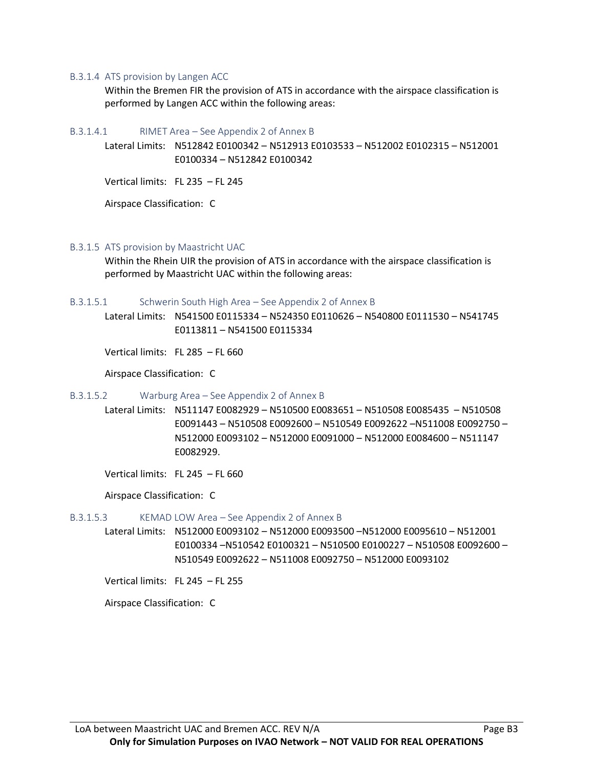#### B.3.1.4 ATS provision by Langen ACC

Within the Bremen FIR the provision of ATS in accordance with the airspace classification is performed by Langen ACC within the following areas:

B.3.1.4.1 RIMET Area – See Appendix 2 of Annex B

Lateral Limits: N512842 E0100342 – N512913 E0103533 – N512002 E0102315 – N512001 E0100334 – N512842 E0100342

Vertical limits: FL 235 – FL 245

Airspace Classification: C

B.3.1.5 ATS provision by Maastricht UAC

Within the Rhein UIR the provision of ATS in accordance with the airspace classification is performed by Maastricht UAC within the following areas:

B.3.1.5.1 Schwerin South High Area – See Appendix 2 of Annex B

Lateral Limits: N541500 E0115334 – N524350 E0110626 – N540800 E0111530 – N541745 E0113811 – N541500 E0115334

Vertical limits: FL 285 – FL 660

Airspace Classification: C

#### B.3.1.5.2 Warburg Area – See Appendix 2 of Annex B

Lateral Limits: N511147 E0082929 – N510500 E0083651 – N510508 E0085435 – N510508 E0091443 – N510508 E0092600 – N510549 E0092622 –N511008 E0092750 – N512000 E0093102 – N512000 E0091000 – N512000 E0084600 – N511147 E0082929.

Vertical limits: FL 245 – FL 660

Airspace Classification: C

#### B.3.1.5.3 KEMAD LOW Area – See Appendix 2 of Annex B

Lateral Limits: N512000 E0093102 – N512000 E0093500 –N512000 E0095610 – N512001 E0100334 –N510542 E0100321 – N510500 E0100227 – N510508 E0092600 – N510549 E0092622 – N511008 E0092750 – N512000 E0093102

Vertical limits: FL 245 – FL 255

Airspace Classification: C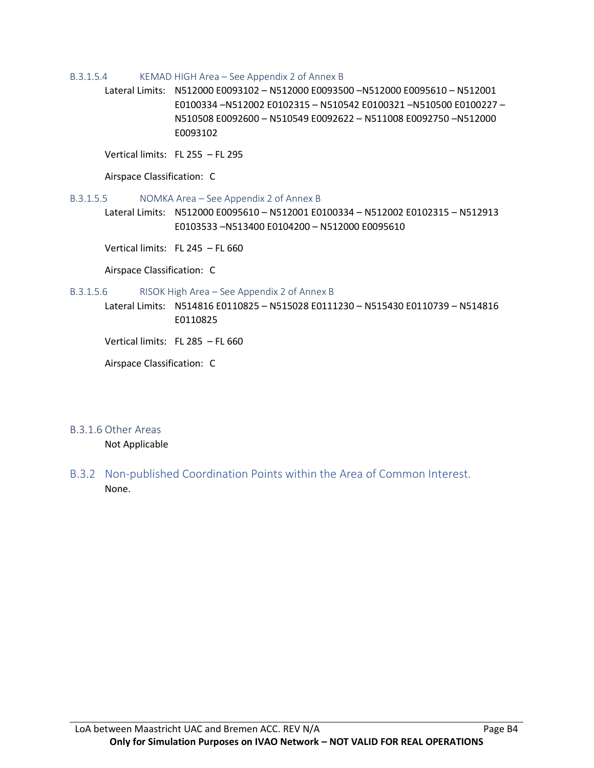#### B.3.1.5.4 KEMAD HIGH Area – See Appendix 2 of Annex B

Lateral Limits: N512000 E0093102 – N512000 E0093500 –N512000 E0095610 – N512001 E0100334 –N512002 E0102315 – N510542 E0100321 –N510500 E0100227 – N510508 E0092600 – N510549 E0092622 – N511008 E0092750 –N512000 E0093102

Vertical limits: FL 255 – FL 295

Airspace Classification: C

#### B.3.1.5.5 NOMKA Area – See Appendix 2 of Annex B

Lateral Limits: N512000 E0095610 – N512001 E0100334 – N512002 E0102315 – N512913 E0103533 –N513400 E0104200 – N512000 E0095610

Vertical limits: FL 245 – FL 660

Airspace Classification: C

#### B.3.1.5.6 RISOK High Area – See Appendix 2 of Annex B

Lateral Limits: N514816 E0110825 – N515028 E0111230 – N515430 E0110739 – N514816 E0110825

Vertical limits: FL 285 – FL 660

Airspace Classification: C

#### B.3.1.6 Other Areas

Not Applicable

B.3.2 Non-published Coordination Points within the Area of Common Interest. None.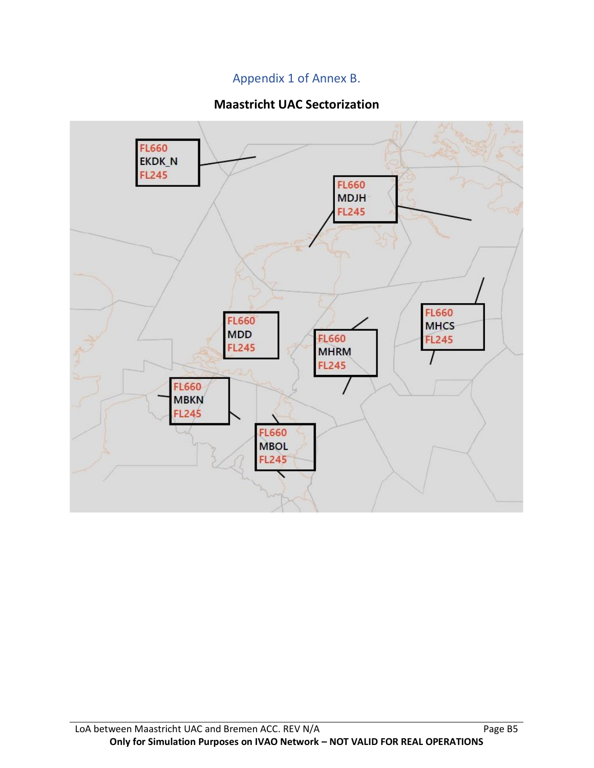### Appendix 1 of Annex B.

### **Maastricht UAC Sectorization**

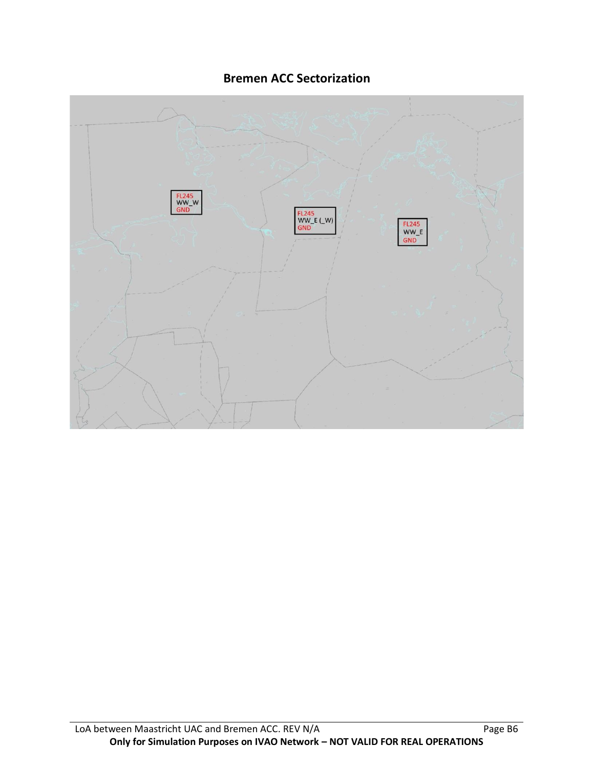### **Bremen ACC Sectorization**

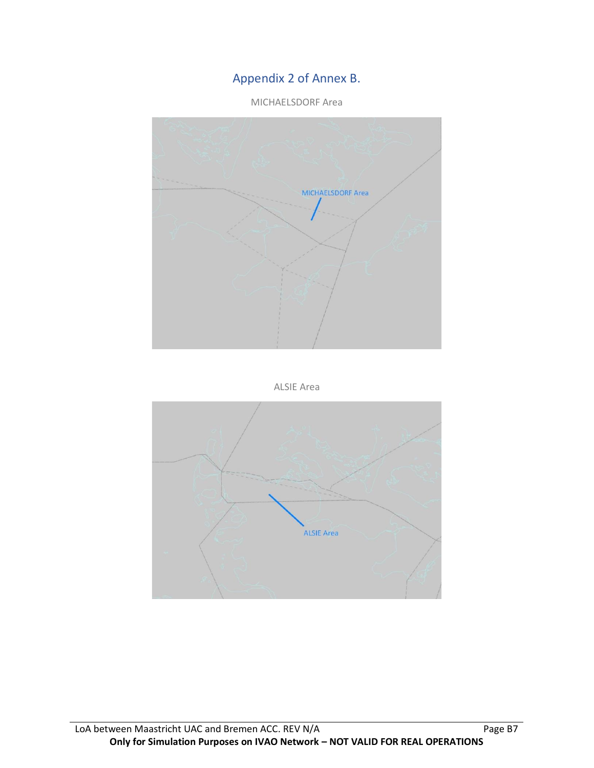### Appendix 2 of Annex B.

MICHAELSDORF Area





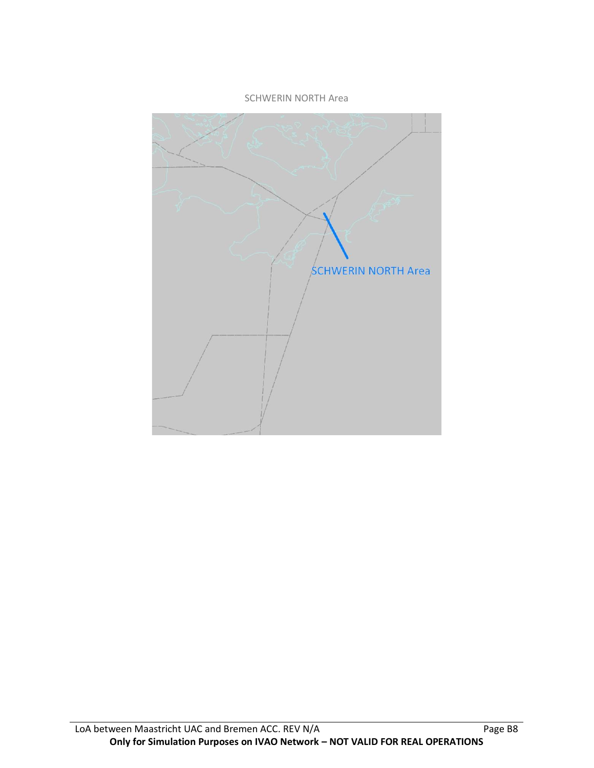#### SCHWERIN NORTH Area

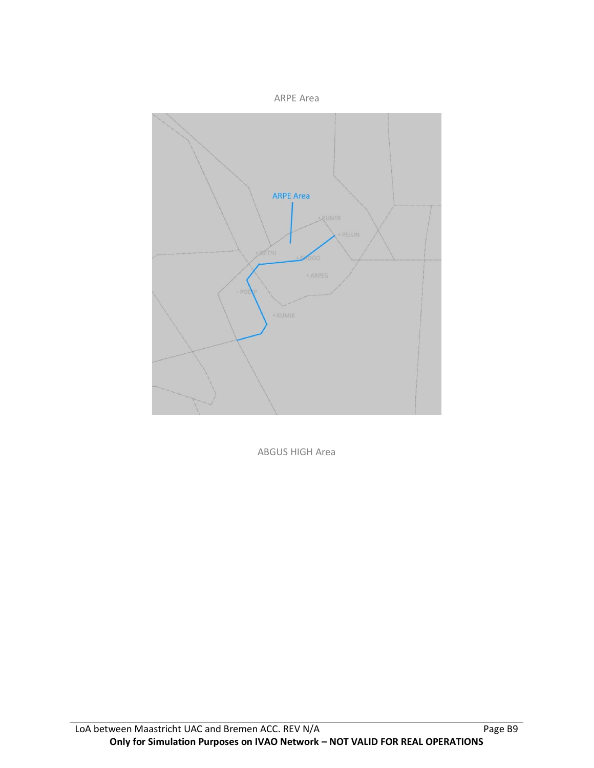

ABGUS HIGH Area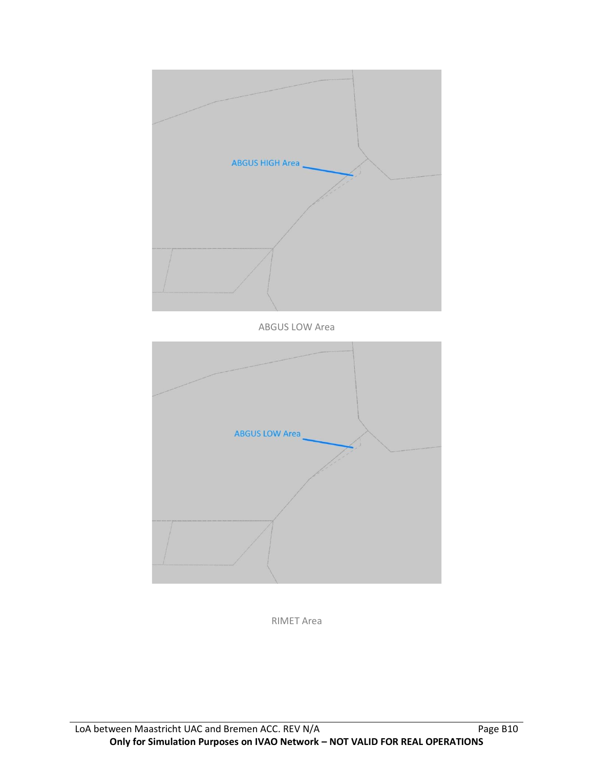



RIMET Area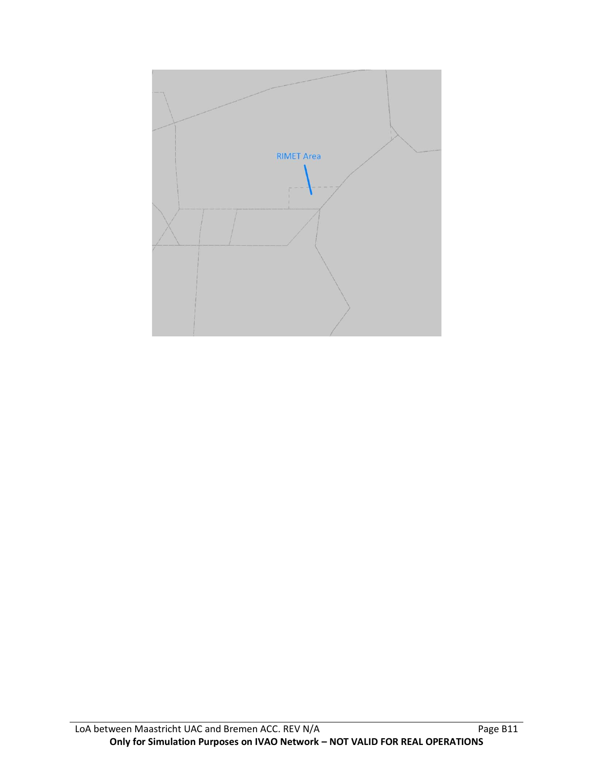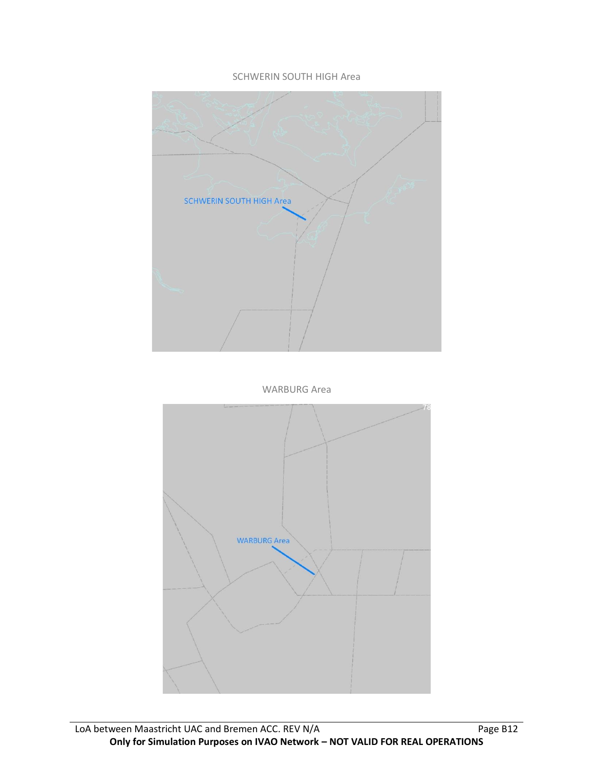#### SCHWERIN SOUTH HIGH Area



WARBURG Area

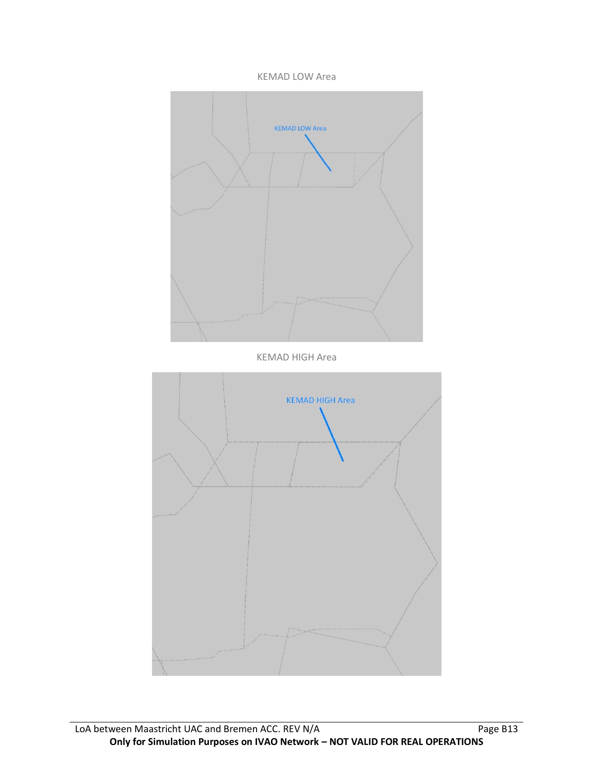#### KEMAD LOW Area

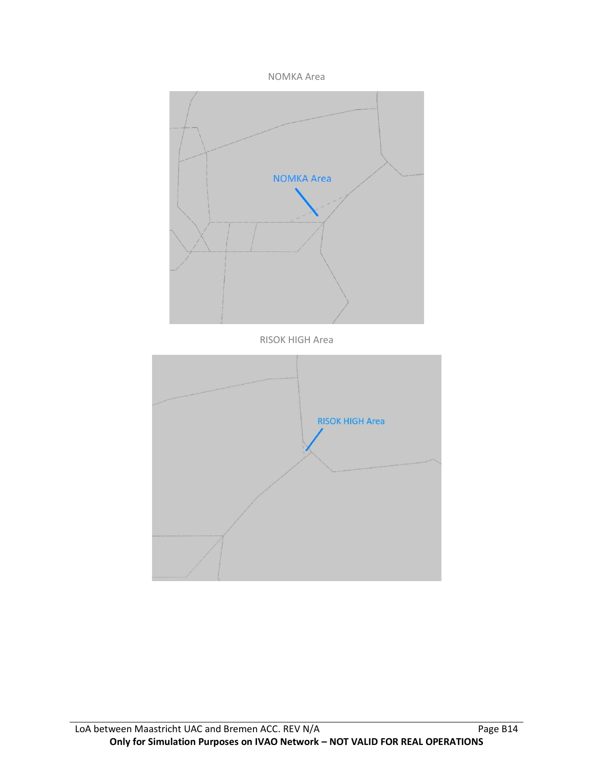

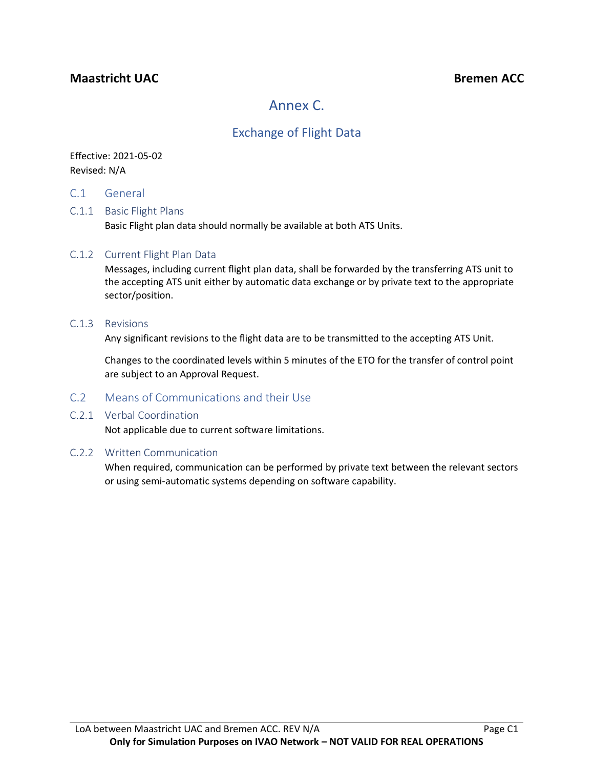### **Maastricht UAC Bremen ACC**

# Annex C.

### Exchange of Flight Data

### Effective: 2021-05-02 Revised: N/A

C.1 General

#### C.1.1 Basic Flight Plans

Basic Flight plan data should normally be available at both ATS Units.

#### C.1.2 Current Flight Plan Data

Messages, including current flight plan data, shall be forwarded by the transferring ATS unit to the accepting ATS unit either by automatic data exchange or by private text to the appropriate sector/position.

#### C.1.3 Revisions

Any significant revisions to the flight data are to be transmitted to the accepting ATS Unit.

Changes to the coordinated levels within 5 minutes of the ETO for the transfer of control point are subject to an Approval Request.

### C.2 Means of Communications and their Use

#### C.2.1 Verbal Coordination

Not applicable due to current software limitations.

#### C.2.2 Written Communication

When required, communication can be performed by private text between the relevant sectors or using semi-automatic systems depending on software capability.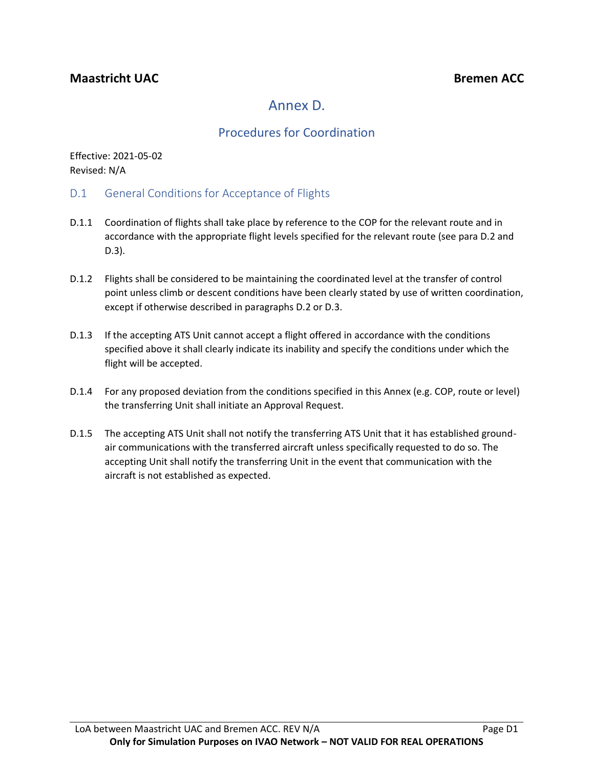# Annex D.

## Procedures for Coordination

Effective: 2021-05-02 Revised: N/A

- D.1 General Conditions for Acceptance of Flights
- D.1.1 Coordination of flights shall take place by reference to the COP for the relevant route and in accordance with the appropriate flight levels specified for the relevant route (see para D.2 and D.3).
- D.1.2 Flights shall be considered to be maintaining the coordinated level at the transfer of control point unless climb or descent conditions have been clearly stated by use of written coordination, except if otherwise described in paragraphs D.2 or D.3.
- D.1.3 If the accepting ATS Unit cannot accept a flight offered in accordance with the conditions specified above it shall clearly indicate its inability and specify the conditions under which the flight will be accepted.
- D.1.4 For any proposed deviation from the conditions specified in this Annex (e.g. COP, route or level) the transferring Unit shall initiate an Approval Request.
- D.1.5 The accepting ATS Unit shall not notify the transferring ATS Unit that it has established groundair communications with the transferred aircraft unless specifically requested to do so. The accepting Unit shall notify the transferring Unit in the event that communication with the aircraft is not established as expected.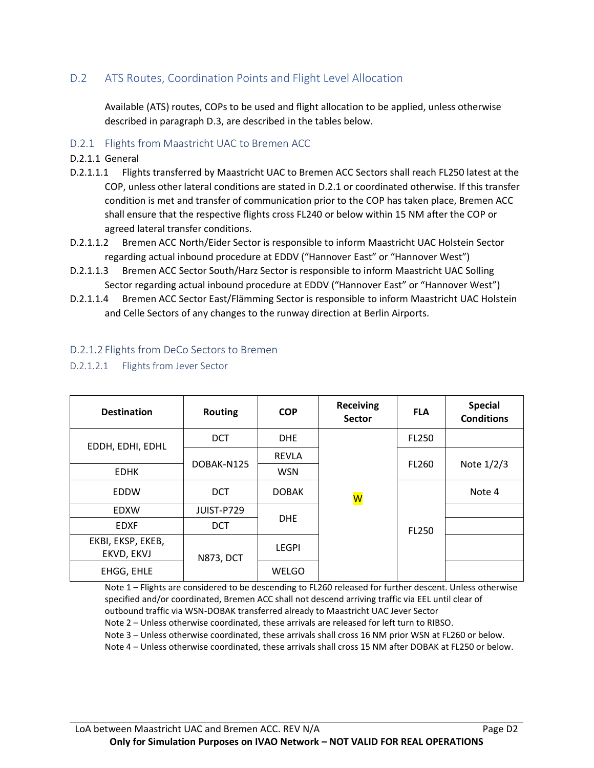### D.2 ATS Routes, Coordination Points and Flight Level Allocation

Available (ATS) routes, COPs to be used and flight allocation to be applied, unless otherwise described in paragraph D.3, are described in the tables below.

#### D.2.1 Flights from Maastricht UAC to Bremen ACC

- D.2.1.1 General
- D.2.1.1.1 Flights transferred by Maastricht UAC to Bremen ACC Sectors shall reach FL250 latest at the COP, unless other lateral conditions are stated in D.2.1 or coordinated otherwise. If this transfer condition is met and transfer of communication prior to the COP has taken place, Bremen ACC shall ensure that the respective flights cross FL240 or below within 15 NM after the COP or agreed lateral transfer conditions.
- D.2.1.1.2 Bremen ACC North/Eider Sector is responsible to inform Maastricht UAC Holstein Sector regarding actual inbound procedure at EDDV ("Hannover East" or "Hannover West")
- D.2.1.1.3 Bremen ACC Sector South/Harz Sector is responsible to inform Maastricht UAC Solling Sector regarding actual inbound procedure at EDDV ("Hannover East" or "Hannover West")
- D.2.1.1.4 Bremen ACC Sector East/Flämming Sector is responsible to inform Maastricht UAC Holstein and Celle Sectors of any changes to the runway direction at Berlin Airports.

| <b>Destination</b>              | <b>Routing</b>   | <b>COP</b>   | <b>Receiving</b><br><b>Sector</b> | <b>FLA</b>   | <b>Special</b><br><b>Conditions</b> |
|---------------------------------|------------------|--------------|-----------------------------------|--------------|-------------------------------------|
| EDDH, EDHI, EDHL                | <b>DCT</b>       | <b>DHE</b>   |                                   | FL250        |                                     |
|                                 |                  | <b>REVLA</b> |                                   |              |                                     |
| <b>EDHK</b>                     | DOBAK-N125       | <b>WSN</b>   |                                   | FL260        | Note $1/2/3$                        |
| <b>EDDW</b>                     | <b>DCT</b>       | <b>DOBAK</b> | W                                 |              | Note 4                              |
| <b>EDXW</b>                     | JUIST-P729       |              |                                   |              |                                     |
| <b>EDXF</b>                     | <b>DCT</b>       | <b>DHE</b>   |                                   | <b>FL250</b> |                                     |
| EKBI, EKSP, EKEB,<br>EKVD, EKVJ | <b>N873, DCT</b> | <b>LEGPI</b> |                                   |              |                                     |
| EHGG, EHLE                      |                  | WELGO        |                                   |              |                                     |

#### D.2.1.2 Flights from DeCo Sectors to Bremen

D.2.1.2.1 Flights from Jever Sector

Note 1 – Flights are considered to be descending to FL260 released for further descent. Unless otherwise specified and/or coordinated, Bremen ACC shall not descend arriving traffic via EEL until clear of outbound traffic via WSN-DOBAK transferred already to Maastricht UAC Jever Sector

Note 2 – Unless otherwise coordinated, these arrivals are released for left turn to RIBSO.

Note 3 – Unless otherwise coordinated, these arrivals shall cross 16 NM prior WSN at FL260 or below.

Note 4 – Unless otherwise coordinated, these arrivals shall cross 15 NM after DOBAK at FL250 or below.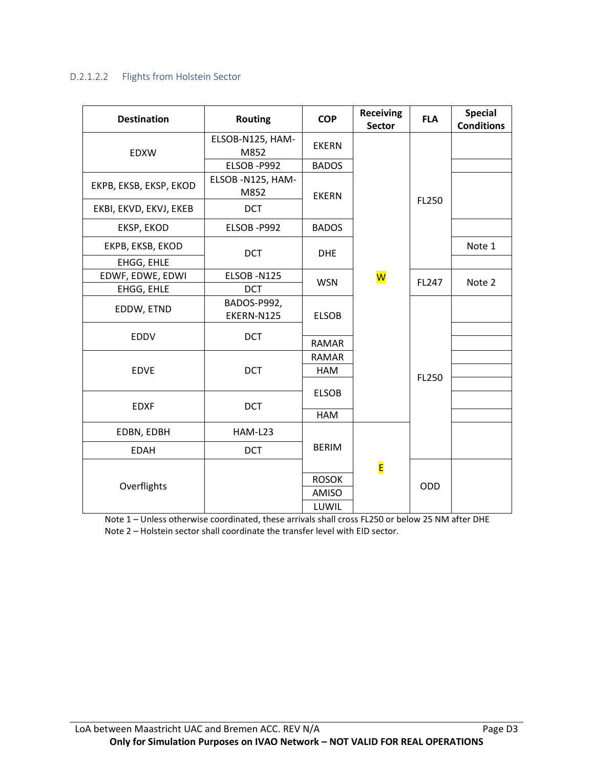#### D.2.1.2.2 Flights from Holstein Sector

| <b>Destination</b>     | <b>Routing</b>            | <b>COP</b>   | <b>Receiving</b><br><b>Sector</b> | <b>FLA</b> | <b>Special</b><br><b>Conditions</b> |
|------------------------|---------------------------|--------------|-----------------------------------|------------|-------------------------------------|
| <b>EDXW</b>            | ELSOB-N125, HAM-<br>M852  | <b>EKERN</b> |                                   |            |                                     |
|                        | ELSOB-P992                | <b>BADOS</b> |                                   |            |                                     |
| EKPB, EKSB, EKSP, EKOD | ELSOB -N125, HAM-<br>M852 | <b>EKERN</b> |                                   |            |                                     |
| EKBI, EKVD, EKVJ, EKEB | <b>DCT</b>                |              |                                   | FL250      |                                     |
| EKSP, EKOD             | ELSOB-P992                | <b>BADOS</b> |                                   |            |                                     |
| EKPB, EKSB, EKOD       | <b>DCT</b>                | <b>DHE</b>   |                                   |            | Note 1                              |
| EHGG, EHLE             |                           |              |                                   |            |                                     |
| EDWF, EDWE, EDWI       | ELSOB-N125                |              | $\overline{\mathsf{w}}$           | FL247      |                                     |
| EHGG, EHLE             | <b>DCT</b>                | <b>WSN</b>   |                                   |            | Note 2                              |
| EDDW, ETND             | BADOS-P992,<br>EKERN-N125 | <b>ELSOB</b> |                                   |            |                                     |
| <b>EDDV</b>            | <b>DCT</b>                | <b>RAMAR</b> |                                   |            |                                     |
|                        |                           | <b>RAMAR</b> |                                   |            |                                     |
| <b>EDVE</b>            | <b>DCT</b>                | HAM          |                                   | FL250      |                                     |
|                        |                           |              |                                   |            |                                     |
|                        |                           | <b>ELSOB</b> |                                   |            |                                     |
| <b>EDXF</b>            | <b>DCT</b>                | <b>HAM</b>   |                                   |            |                                     |
| EDBN, EDBH             | HAM-L23                   |              |                                   |            |                                     |
| <b>EDAH</b>            | <b>DCT</b>                | <b>BERIM</b> |                                   |            |                                     |
|                        |                           |              | E                                 |            |                                     |
| Overflights            |                           | <b>ROSOK</b> |                                   | ODD        |                                     |
|                        |                           | <b>AMISO</b> |                                   |            |                                     |
|                        |                           | LUWIL        |                                   |            |                                     |

Note 1 – Unless otherwise coordinated, these arrivals shall cross FL250 or below 25 NM after DHE Note 2 – Holstein sector shall coordinate the transfer level with EID sector.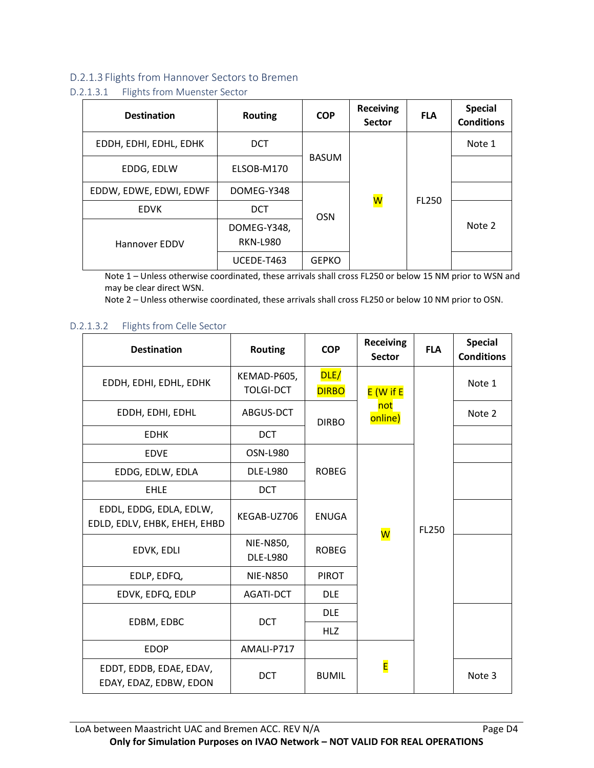#### D.2.1.3 Flights from Hannover Sectors to Bremen

#### D.2.1.3.1 Flights from Muenster Sector

| <b>Destination</b>     | <b>Routing</b>                 | <b>COP</b>   | <b>Receiving</b><br><b>Sector</b> | <b>FLA</b>   | <b>Special</b><br><b>Conditions</b> |        |
|------------------------|--------------------------------|--------------|-----------------------------------|--------------|-------------------------------------|--------|
| EDDH, EDHI, EDHL, EDHK | <b>DCT</b>                     |              | <mark>W</mark>                    |              |                                     | Note 1 |
| EDDG, EDLW             | ELSOB-M170                     | <b>BASUM</b> |                                   | <b>FL250</b> |                                     |        |
| EDDW, EDWE, EDWI, EDWF | DOMEG-Y348                     |              |                                   |              |                                     |        |
| <b>EDVK</b>            | <b>DCT</b>                     | <b>OSN</b>   |                                   |              |                                     |        |
| Hannover EDDV          | DOMEG-Y348,<br><b>RKN-L980</b> |              |                                   |              | Note 2                              |        |
|                        | UCEDE-T463                     | <b>GEPKO</b> |                                   |              |                                     |        |

Note 1 – Unless otherwise coordinated, these arrivals shall cross FL250 or below 15 NM prior to WSN and may be clear direct WSN.

Note 2 – Unless otherwise coordinated, these arrivals shall cross FL250 or below 10 NM prior to OSN.

#### D.2.1.3.2 Flights from Celle Sector

| <b>Destination</b>                                      | <b>Routing</b>                  | <b>COP</b>           | <b>Receiving</b><br><b>Sector</b> | <b>FLA</b>   | <b>Special</b><br><b>Conditions</b> |        |
|---------------------------------------------------------|---------------------------------|----------------------|-----------------------------------|--------------|-------------------------------------|--------|
| EDDH, EDHI, EDHL, EDHK                                  | KEMAD-P605,<br><b>TOLGI-DCT</b> | DLE/<br><b>DIRBO</b> | $E(W)$ if E                       |              |                                     | Note 1 |
| EDDH, EDHI, EDHL                                        | ABGUS-DCT                       | <b>DIRBO</b>         | not<br>online)                    |              | Note 2                              |        |
| <b>EDHK</b>                                             | <b>DCT</b>                      |                      |                                   |              |                                     |        |
| <b>EDVE</b>                                             | OSN-L980                        |                      |                                   |              |                                     |        |
| EDDG, EDLW, EDLA                                        | <b>DLE-L980</b>                 | <b>ROBEG</b>         | $\overline{\mathsf{W}}$           | <b>FL250</b> |                                     |        |
| <b>EHLE</b>                                             | <b>DCT</b>                      |                      |                                   |              |                                     |        |
| EDDL, EDDG, EDLA, EDLW,<br>EDLD, EDLV, EHBK, EHEH, EHBD | KEGAB-UZ706                     | <b>ENUGA</b>         |                                   |              |                                     |        |
| EDVK, EDLI                                              | NIE-N850,<br><b>DLE-L980</b>    | <b>ROBEG</b>         |                                   |              |                                     |        |
| EDLP, EDFQ,                                             | <b>NIE-N850</b>                 | <b>PIROT</b>         |                                   |              |                                     |        |
| EDVK, EDFQ, EDLP                                        | AGATI-DCT                       | <b>DLE</b>           |                                   |              |                                     |        |
| EDBM, EDBC                                              | <b>DCT</b>                      | <b>DLE</b>           |                                   |              |                                     |        |
|                                                         |                                 | <b>HLZ</b>           |                                   |              |                                     |        |
| <b>EDOP</b>                                             | AMALI-P717                      |                      |                                   |              |                                     |        |
| EDDT, EDDB, EDAE, EDAV,<br>EDAY, EDAZ, EDBW, EDON       | <b>DCT</b>                      | <b>BUMIL</b>         | E                                 |              | Note 3                              |        |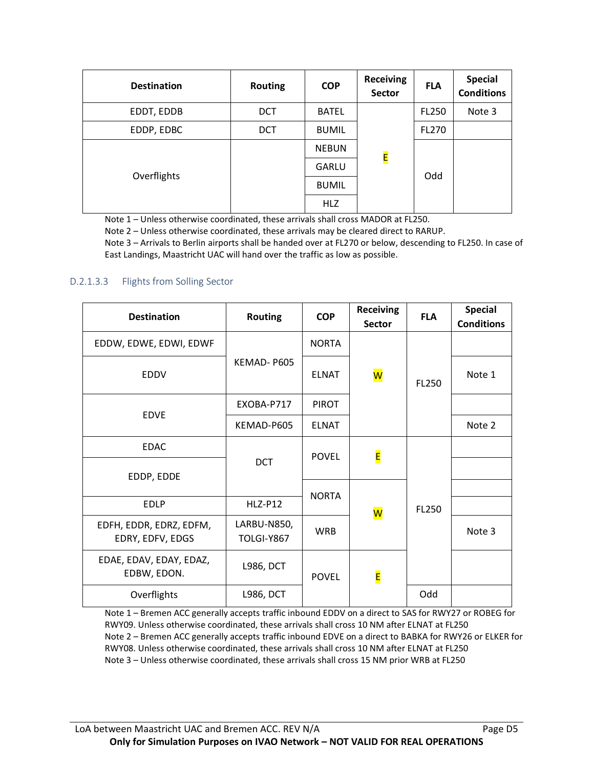| <b>Destination</b> | <b>Routing</b> | <b>COP</b>   | <b>Receiving</b><br><b>Sector</b> | <b>FLA</b>   | <b>Special</b><br><b>Conditions</b> |
|--------------------|----------------|--------------|-----------------------------------|--------------|-------------------------------------|
| EDDT, EDDB         | <b>DCT</b>     | <b>BATEL</b> |                                   | <b>FL250</b> | Note 3                              |
| EDDP, EDBC         | <b>DCT</b>     | <b>BUMIL</b> |                                   | <b>FL270</b> |                                     |
|                    | <b>NEBUN</b>   | E            |                                   |              |                                     |
| Overflights        |                | GARLU        |                                   | Odd          |                                     |
|                    |                | <b>BUMIL</b> |                                   |              |                                     |
|                    |                | <b>HLZ</b>   |                                   |              |                                     |

Note 1 – Unless otherwise coordinated, these arrivals shall cross MADOR at FL250.

Note 2 – Unless otherwise coordinated, these arrivals may be cleared direct to RARUP.

Note 3 – Arrivals to Berlin airports shall be handed over at FL270 or below, descending to FL250. In case of East Landings, Maastricht UAC will hand over the traffic as low as possible.

#### D.2.1.3.3 Flights from Solling Sector

| <b>Destination</b>                          | <b>Routing</b>                   | <b>COP</b>   | <b>Receiving</b><br><b>Sector</b> | <b>FLA</b> | <b>Special</b><br><b>Conditions</b> |
|---------------------------------------------|----------------------------------|--------------|-----------------------------------|------------|-------------------------------------|
| EDDW, EDWE, EDWI, EDWF                      |                                  | <b>NORTA</b> |                                   |            |                                     |
| EDDV                                        | KEMAD-P605                       | <b>ELNAT</b> | W                                 | FL250      | Note 1                              |
| <b>EDVE</b>                                 | EXOBA-P717                       | <b>PIROT</b> |                                   |            |                                     |
|                                             | KEMAD-P605                       | <b>ELNAT</b> |                                   |            | Note 2                              |
| <b>EDAC</b>                                 |                                  | <b>POVEL</b> | E                                 |            |                                     |
| EDDP, EDDE                                  | <b>DCT</b>                       |              |                                   |            |                                     |
| <b>EDLP</b>                                 | $HLZ- P12$                       | <b>NORTA</b> | W                                 | FL250      |                                     |
| EDFH, EDDR, EDRZ, EDFM,<br>EDRY, EDFV, EDGS | LARBU-N850,<br><b>TOLGI-Y867</b> | <b>WRB</b>   |                                   |            | Note 3                              |
| EDAE, EDAV, EDAY, EDAZ,<br>EDBW, EDON.      | <b>L986, DCT</b>                 | <b>POVEL</b> | E                                 |            |                                     |
| Overflights                                 | <b>L986, DCT</b>                 |              |                                   | Odd        |                                     |

Note 1 – Bremen ACC generally accepts traffic inbound EDDV on a direct to SAS for RWY27 or ROBEG for RWY09. Unless otherwise coordinated, these arrivals shall cross 10 NM after ELNAT at FL250 Note 2 – Bremen ACC generally accepts traffic inbound EDVE on a direct to BABKA for RWY26 or ELKER for RWY08. Unless otherwise coordinated, these arrivals shall cross 10 NM after ELNAT at FL250 Note 3 – Unless otherwise coordinated, these arrivals shall cross 15 NM prior WRB at FL250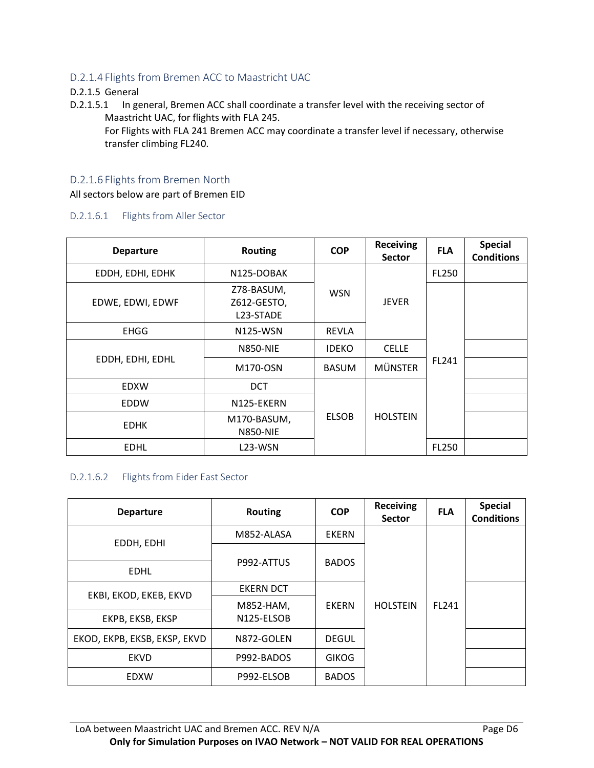#### D.2.1.4 Flights from Bremen ACC to Maastricht UAC

#### D.2.1.5 General

D.2.1.5.1 In general, Bremen ACC shall coordinate a transfer level with the receiving sector of Maastricht UAC, for flights with FLA 245.

For Flights with FLA 241 Bremen ACC may coordinate a transfer level if necessary, otherwise transfer climbing FL240.

#### D.2.1.6 Flights from Bremen North

All sectors below are part of Bremen EID

#### D.2.1.6.1 Flights from Aller Sector

| <b>Departure</b> | <b>Routing</b>                         | <b>COP</b>   | <b>Receiving</b><br><b>Sector</b> | <b>FLA</b>   | <b>Special</b><br><b>Conditions</b> |              |  |
|------------------|----------------------------------------|--------------|-----------------------------------|--------------|-------------------------------------|--------------|--|
| EDDH, EDHI, EDHK | N125-DOBAK                             |              |                                   |              |                                     | <b>FL250</b> |  |
| EDWE, EDWI, EDWF | Z78-BASUM,<br>Z612-GESTO,<br>L23-STADE | <b>WSN</b>   | <b>JEVER</b>                      |              |                                     |              |  |
| <b>EHGG</b>      | N125-WSN                               | <b>REVLA</b> |                                   |              |                                     |              |  |
|                  | <b>N850-NIE</b>                        | <b>IDEKO</b> | <b>CELLE</b>                      |              |                                     |              |  |
| EDDH, EDHI, EDHL | M170-OSN                               | <b>BASUM</b> | <b>MÜNSTER</b>                    | FL241        |                                     |              |  |
| <b>EDXW</b>      | <b>DCT</b>                             |              |                                   |              |                                     |              |  |
| EDDW             | N125-EKERN                             |              |                                   |              |                                     |              |  |
| <b>EDHK</b>      | M170-BASUM,<br><b>N850-NIE</b>         | <b>ELSOB</b> | <b>HOLSTEIN</b>                   |              |                                     |              |  |
| <b>EDHL</b>      | L <sub>23</sub> -WSN                   |              |                                   | <b>FL250</b> |                                     |              |  |

#### D.2.1.6.2 Flights from Eider East Sector

| <b>Departure</b>             | <b>Routing</b>   | <b>COP</b>   | <b>Receiving</b><br><b>Sector</b> | <b>FLA</b> | <b>Special</b><br><b>Conditions</b> |                 |              |  |
|------------------------------|------------------|--------------|-----------------------------------|------------|-------------------------------------|-----------------|--------------|--|
|                              | M852-ALASA       | <b>EKERN</b> |                                   |            |                                     |                 |              |  |
| EDDH, EDHI                   |                  |              |                                   |            |                                     |                 |              |  |
| <b>EDHL</b>                  | P992-ATTUS       | <b>BADOS</b> |                                   |            |                                     |                 |              |  |
| EKBI, EKOD, EKEB, EKVD       | <b>EKERN DCT</b> |              |                                   |            |                                     |                 |              |  |
|                              | M852-HAM,        | <b>EKERN</b> |                                   |            |                                     | <b>HOLSTEIN</b> | <b>FL241</b> |  |
| EKPB, EKSB, EKSP             | N125-ELSOB       |              |                                   |            |                                     |                 |              |  |
| EKOD, EKPB, EKSB, EKSP, EKVD | N872-GOLEN       | <b>DEGUL</b> |                                   |            |                                     |                 |              |  |
| <b>EKVD</b>                  | P992-BADOS       | <b>GIKOG</b> |                                   |            |                                     |                 |              |  |
| EDXW                         | P992-ELSOB       | <b>BADOS</b> |                                   |            |                                     |                 |              |  |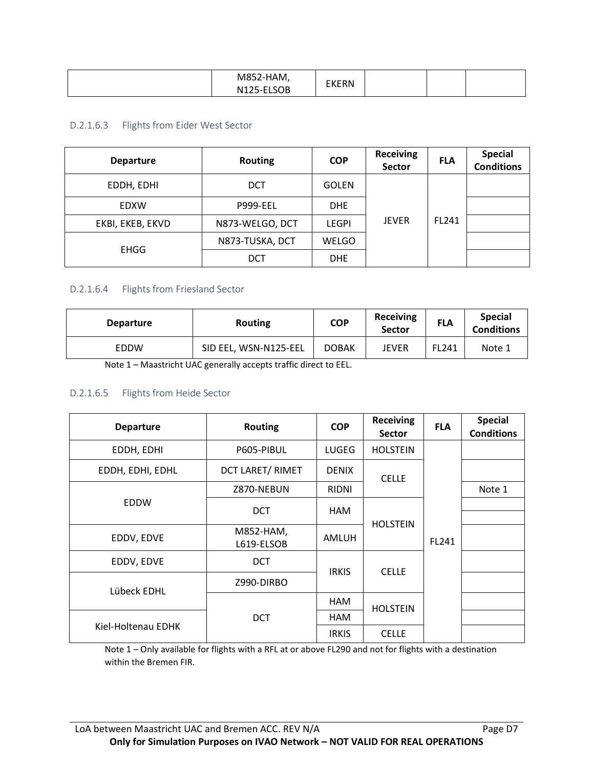| $\sim$ $\sim$ $\sim$ $\sim$<br><b>IVI</b><br>N125<br>. | .<br>7-HAM,<br><b>EKERN</b><br>---<br>$\sim$<br>------<br>-טע |  |  |  |
|--------------------------------------------------------|---------------------------------------------------------------|--|--|--|
|--------------------------------------------------------|---------------------------------------------------------------|--|--|--|

#### D.2.1.6.3 Flights from Eider West Sector

| <b>Departure</b> | <b>Routing</b>  | <b>COP</b>   | <b>Receiving</b><br>Sector | <b>FLA</b>   | <b>Special</b><br><b>Conditions</b> |
|------------------|-----------------|--------------|----------------------------|--------------|-------------------------------------|
| EDDH, EDHI       | <b>DCT</b>      | <b>GOLEN</b> | <b>JEVER</b>               | <b>FL241</b> |                                     |
| <b>EDXW</b>      | <b>P999-EEL</b> | <b>DHE</b>   |                            |              |                                     |
| EKBI, EKEB, EKVD | N873-WELGO, DCT | <b>LEGPI</b> |                            |              |                                     |
|                  | N873-TUSKA, DCT | WELGO        |                            |              |                                     |
| <b>EHGG</b>      | <b>DCT</b>      | <b>DHE</b>   |                            |              |                                     |

#### D.2.1.6.4 Flights from Friesland Sector

| <b>Departure</b> | Routing                                                                                                                                                                                                                                                                                          | <b>COP</b>   | <b>Receiving</b><br><b>Sector</b> | <b>FLA</b> | <b>Special</b><br><b>Conditions</b> |
|------------------|--------------------------------------------------------------------------------------------------------------------------------------------------------------------------------------------------------------------------------------------------------------------------------------------------|--------------|-----------------------------------|------------|-------------------------------------|
| <b>EDDW</b>      | SID EEL, WSN-N125-EEL                                                                                                                                                                                                                                                                            | <b>DOBAK</b> | JEVER                             | FL241      | Note 1                              |
|                  | $\mathbf{A}$ and $\mathbf{A}$ and $\mathbf{A}$ and $\mathbf{A}$ and $\mathbf{A}$ and $\mathbf{A}$ and $\mathbf{A}$ and $\mathbf{A}$ and $\mathbf{A}$ and $\mathbf{A}$ and $\mathbf{A}$ and $\mathbf{A}$ and $\mathbf{A}$ and $\mathbf{A}$ and $\mathbf{A}$ and $\mathbf{A}$ and $\mathbf{A}$ and |              |                                   |            |                                     |

Note 1 – Maastricht UAC generally accepts traffic direct to EEL.

#### D.2.1.6.5 Flights from Heide Sector

| <b>Departure</b>   | <b>Routing</b>          | <b>COP</b>   | <b>Receiving</b><br><b>Sector</b> | <b>FLA</b> | <b>Special</b><br><b>Conditions</b> |
|--------------------|-------------------------|--------------|-----------------------------------|------------|-------------------------------------|
| EDDH, EDHI         | P605-PIBUL              | LUGEG        | <b>HOLSTEIN</b>                   |            |                                     |
| EDDH, EDHI, EDHL   | DCT LARET/ RIMET        | <b>DENIX</b> | <b>CELLE</b>                      |            |                                     |
|                    | Z870-NEBUN              | <b>RIDNI</b> | <b>HOLSTEIN</b>                   |            | Note 1                              |
| <b>EDDW</b>        | <b>DCT</b>              | <b>HAM</b>   |                                   |            |                                     |
|                    |                         |              |                                   |            |                                     |
| EDDV, EDVE         | M852-HAM,<br>L619-ELSOB | AMLUH        |                                   | FL241      |                                     |
| EDDV, EDVE         | <b>DCT</b>              | <b>IRKIS</b> | <b>CELLE</b>                      |            |                                     |
| Lübeck EDHL        | Z990-DIRBO              |              |                                   |            |                                     |
|                    | HAM<br><b>HOLSTEIN</b>  |              |                                   |            |                                     |
|                    | <b>DCT</b>              | HAM          |                                   |            |                                     |
| Kiel-Holtenau EDHK |                         | <b>IRKIS</b> | <b>CELLE</b>                      |            |                                     |

Note 1 – Only available for flights with a RFL at or above FL290 and not for flights with a destination within the Bremen FIR.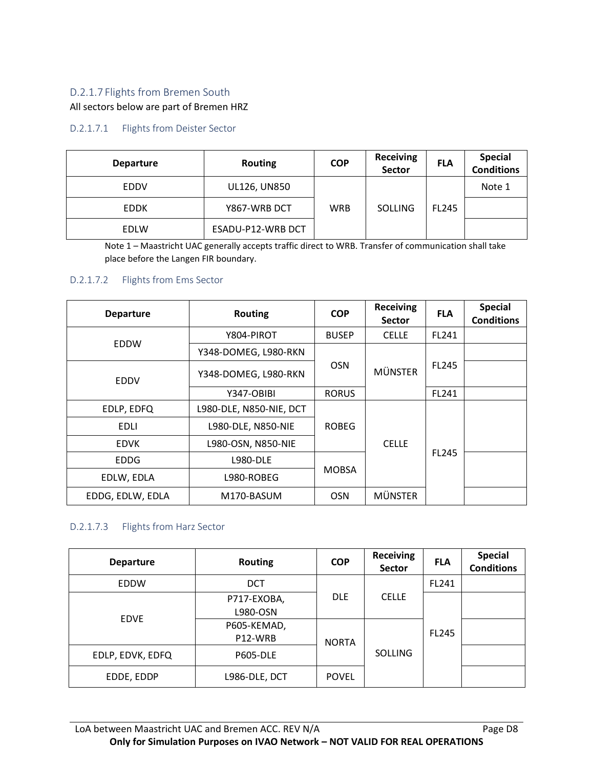### D.2.1.7 Flights from Bremen South

#### All sectors below are part of Bremen HRZ

#### D.2.1.7.1 Flights from Deister Sector

| <b>Departure</b> | <b>Routing</b>    | <b>COP</b> | <b>Receiving</b><br>Sector | <b>FLA</b>   | <b>Special</b><br>Conditions |
|------------------|-------------------|------------|----------------------------|--------------|------------------------------|
| <b>EDDV</b>      | UL126, UN850      |            |                            |              | Note 1                       |
| <b>EDDK</b>      | Y867-WRB DCT      | <b>WRB</b> | <b>SOLLING</b>             | <b>FL245</b> |                              |
| <b>EDLW</b>      | ESADU-P12-WRB DCT |            |                            |              |                              |

Note 1 – Maastricht UAC generally accepts traffic direct to WRB. Transfer of communication shall take place before the Langen FIR boundary.

#### D.2.1.7.2 Flights from Ems Sector

| <b>Departure</b> | <b>Routing</b>          | <b>COP</b>   | <b>Receiving</b><br><b>Sector</b> | <b>FLA</b>   | <b>Special</b><br><b>Conditions</b> |
|------------------|-------------------------|--------------|-----------------------------------|--------------|-------------------------------------|
|                  | Y804-PIROT              | <b>BUSEP</b> | <b>CELLE</b>                      | <b>FL241</b> |                                     |
| <b>EDDW</b>      | Y348-DOMEG, L980-RKN    |              |                                   |              |                                     |
| <b>EDDV</b>      | Y348-DOMEG, L980-RKN    | <b>OSN</b>   | <b>MÜNSTER</b>                    | <b>FL245</b> |                                     |
|                  | Y347-OBIBI              | <b>RORUS</b> |                                   | FL241        |                                     |
| EDLP, EDFQ       | L980-DLE, N850-NIE, DCT |              |                                   |              |                                     |
| <b>EDLI</b>      | L980-DLE, N850-NIE      | <b>ROBEG</b> |                                   |              |                                     |
| <b>EDVK</b>      | L980-OSN, N850-NIE      |              | <b>CELLE</b>                      |              |                                     |
| <b>EDDG</b>      | <b>L980-DLE</b>         |              | <b>FL245</b>                      |              |                                     |
| EDLW, EDLA       | L980-ROBEG              | <b>MOBSA</b> |                                   |              |                                     |
| EDDG, EDLW, EDLA | M170-BASUM              | <b>OSN</b>   | <b>MÜNSTER</b>                    |              |                                     |

#### D.2.1.7.3 Flights from Harz Sector

| <b>Departure</b> | <b>Routing</b>          | <b>COP</b>   | <b>Receiving</b><br><b>Sector</b> | <b>FLA</b>   | <b>Special</b><br><b>Conditions</b> |
|------------------|-------------------------|--------------|-----------------------------------|--------------|-------------------------------------|
| <b>EDDW</b>      | <b>DCT</b>              |              | FL241                             |              |                                     |
| <b>EDVE</b>      | P717-EXOBA,<br>L980-OSN | <b>DLE</b>   | <b>CELLE</b>                      |              |                                     |
|                  | P605-KEMAD,<br>P12-WRB  | <b>NORTA</b> |                                   | <b>FL245</b> |                                     |
| EDLP, EDVK, EDFQ | <b>P605-DLE</b>         |              | <b>SOLLING</b>                    |              |                                     |
| EDDE, EDDP       | L986-DLE, DCT           | <b>POVEL</b> |                                   |              |                                     |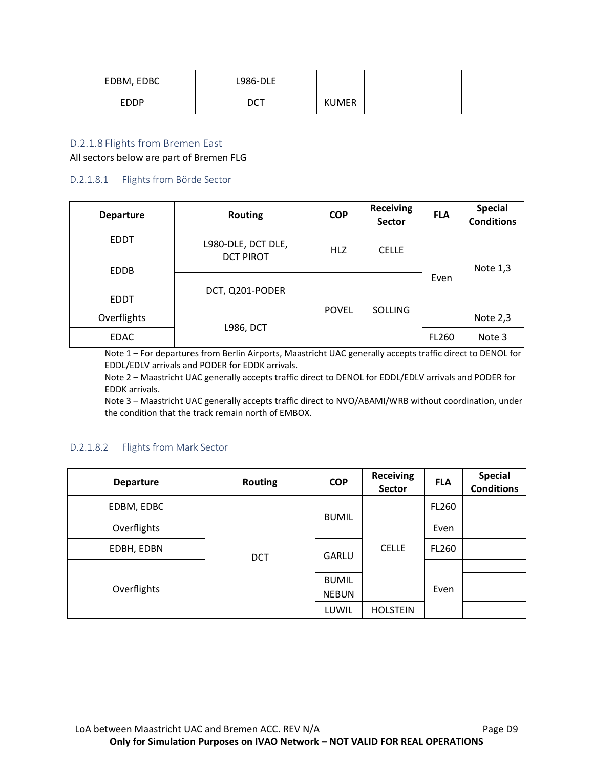| EDBM, EDBC | <b>L986-DLE</b> |              |  |  |
|------------|-----------------|--------------|--|--|
| EDDP       | <b>DCT</b>      | <b>KUMER</b> |  |  |

#### D.2.1.8 Flights from Bremen East

All sectors below are part of Bremen FLG

#### D.2.1.8.1 Flights from Börde Sector

| <b>Departure</b> | <b>Routing</b>     | <b>COP</b>   | <b>Receiving</b><br><b>Sector</b> | <b>FLA</b> | <b>Special</b><br><b>Conditions</b> |
|------------------|--------------------|--------------|-----------------------------------|------------|-------------------------------------|
| <b>EDDT</b>      | L980-DLE, DCT DLE, | <b>HLZ</b>   | <b>CELLE</b>                      |            |                                     |
| <b>EDDB</b>      | <b>DCT PIROT</b>   |              |                                   |            | Note 1,3                            |
|                  | DCT, Q201-PODER    |              |                                   | Even       |                                     |
| <b>EDDT</b>      |                    |              |                                   |            |                                     |
| Overflights      |                    | <b>POVEL</b> | <b>SOLLING</b>                    |            | Note 2,3                            |
| <b>EDAC</b>      | <b>L986, DCT</b>   |              |                                   | FL260      | Note 3                              |

Note 1 – For departures from Berlin Airports, Maastricht UAC generally accepts traffic direct to DENOL for EDDL/EDLV arrivals and PODER for EDDK arrivals.

Note 2 – Maastricht UAC generally accepts traffic direct to DENOL for EDDL/EDLV arrivals and PODER for EDDK arrivals.

Note 3 – Maastricht UAC generally accepts traffic direct to NVO/ABAMI/WRB without coordination, under the condition that the track remain north of EMBOX.

#### D.2.1.8.2 Flights from Mark Sector

| <b>Departure</b> | <b>Routing</b> | <b>COP</b>   | <b>Receiving</b><br><b>Sector</b> | <b>FLA</b>   | <b>Special</b><br><b>Conditions</b> |  |
|------------------|----------------|--------------|-----------------------------------|--------------|-------------------------------------|--|
| EDBM, EDBC       | <b>DCT</b>     |              | <b>BUMIL</b>                      |              | FL260                               |  |
| Overflights      |                |              |                                   | Even         |                                     |  |
| EDBH, EDBN       |                | <b>GARLU</b> | <b>CELLE</b>                      | <b>FL260</b> |                                     |  |
|                  |                |              |                                   |              |                                     |  |
| Overflights      |                | <b>BUMIL</b> |                                   |              |                                     |  |
|                  |                | <b>NEBUN</b> |                                   | Even         |                                     |  |
|                  |                | LUWIL        | <b>HOLSTEIN</b>                   |              |                                     |  |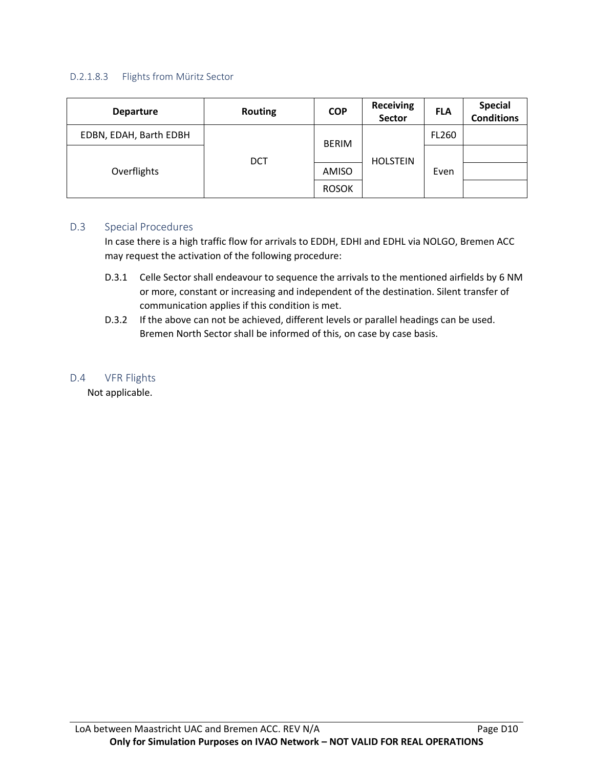#### D.2.1.8.3 Flights from Müritz Sector

| <b>Departure</b>       | <b>Routing</b> | <b>COP</b>   | <b>Receiving</b><br>Sector | <b>FLA</b>   | <b>Special</b><br><b>Conditions</b> |
|------------------------|----------------|--------------|----------------------------|--------------|-------------------------------------|
| EDBN, EDAH, Barth EDBH | <b>DCT</b>     | <b>BERIM</b> | <b>HOLSTEIN</b>            | <b>FL260</b> |                                     |
| Overflights            |                |              |                            | Even         |                                     |
|                        |                | AMISO        |                            |              |                                     |
|                        |                | <b>ROSOK</b> |                            |              |                                     |

#### D.3 Special Procedures

In case there is a high traffic flow for arrivals to EDDH, EDHI and EDHL via NOLGO, Bremen ACC may request the activation of the following procedure:

- D.3.1 Celle Sector shall endeavour to sequence the arrivals to the mentioned airfields by 6 NM or more, constant or increasing and independent of the destination. Silent transfer of communication applies if this condition is met.
- D.3.2 If the above can not be achieved, different levels or parallel headings can be used. Bremen North Sector shall be informed of this, on case by case basis.

#### D.4 VFR Flights

Not applicable.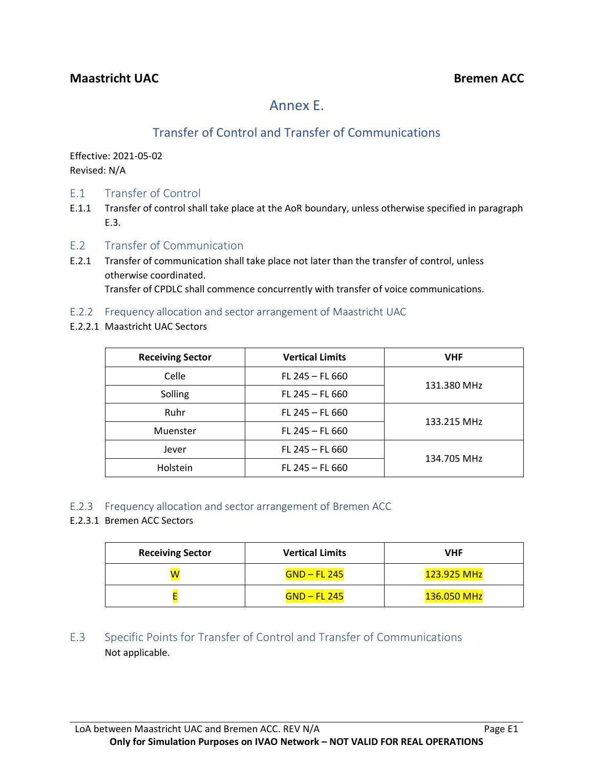# Annex E.

# Transfer of Control and Transfer of Communications

Effective: 2021-05-02 Revised: N/A

- E.1 Transfer of Control
- E.1.1 Transfer of control shall take place at the AoR boundary, unless otherwise specified in paragraph E.3.
- E.2 Transfer of Communication
- E.2.1 Transfer of communication shall take place not later than the transfer of control, unless otherwise coordinated. Transfer of CPDLC shall commence concurrently with transfer of voice communications.
- E.2.2 Frequency allocation and sector arrangement of Maastricht UAC
- E.2.2.1 Maastricht UAC Sectors

| <b>Receiving Sector</b>    | <b>Vertical Limits</b> | <b>VHF</b>  |  |
|----------------------------|------------------------|-------------|--|
| Celle<br>$FL 245 - FL 660$ |                        |             |  |
| Solling                    | $FL 245 - FL 660$      | 131.380 MHz |  |
| Ruhr                       | $FL 245 - FL 660$      |             |  |
| Muenster                   | $FL 245 - FL 660$      | 133.215 MHz |  |
| Jever                      | $FL 245 - FL 660$      |             |  |
| Holstein                   | FL 245 - FL 660        | 134.705 MHz |  |

- E.2.3 Frequency allocation and sector arrangement of Bremen ACC
- E.2.3.1 Bremen ACC Sectors

| <b>Receiving Sector</b> | <b>Vertical Limits</b> | VHF         |
|-------------------------|------------------------|-------------|
| W                       | GND – FL 245           | 123.925 MHz |
|                         | $GND$ – FL 245         | 136.050 MHz |

### E.3 Specific Points for Transfer of Control and Transfer of Communications Not applicable.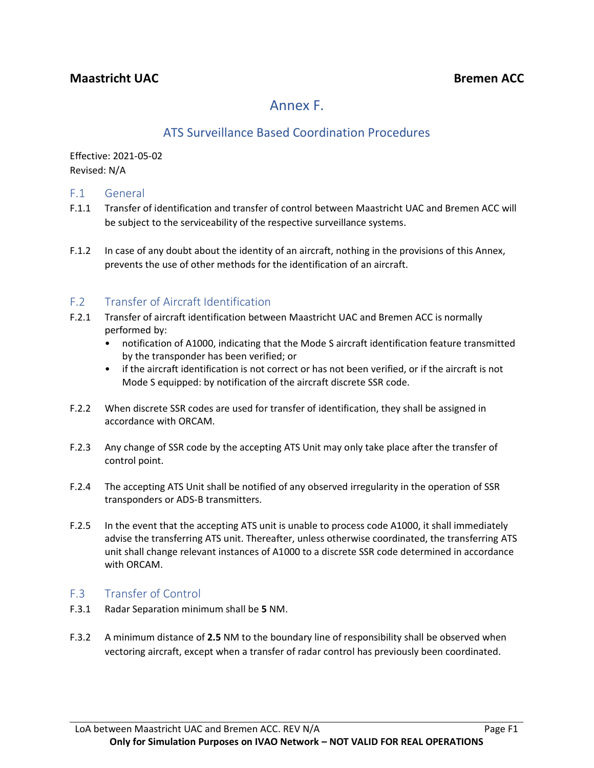# Annex F.

## ATS Surveillance Based Coordination Procedures

Effective: 2021-05-02 Revised: N/A

### F.1 General

- F.1.1 Transfer of identification and transfer of control between Maastricht UAC and Bremen ACC will be subject to the serviceability of the respective surveillance systems.
- F.1.2 In case of any doubt about the identity of an aircraft, nothing in the provisions of this Annex, prevents the use of other methods for the identification of an aircraft.

### F.2 Transfer of Aircraft Identification

- F.2.1 Transfer of aircraft identification between Maastricht UAC and Bremen ACC is normally performed by:
	- notification of A1000, indicating that the Mode S aircraft identification feature transmitted by the transponder has been verified; or
	- if the aircraft identification is not correct or has not been verified, or if the aircraft is not Mode S equipped: by notification of the aircraft discrete SSR code.
- F.2.2 When discrete SSR codes are used for transfer of identification, they shall be assigned in accordance with ORCAM.
- F.2.3 Any change of SSR code by the accepting ATS Unit may only take place after the transfer of control point.
- F.2.4 The accepting ATS Unit shall be notified of any observed irregularity in the operation of SSR transponders or ADS-B transmitters.
- F.2.5 In the event that the accepting ATS unit is unable to process code A1000, it shall immediately advise the transferring ATS unit. Thereafter, unless otherwise coordinated, the transferring ATS unit shall change relevant instances of A1000 to a discrete SSR code determined in accordance with ORCAM.

### F.3 Transfer of Control

- F.3.1 Radar Separation minimum shall be **5** NM.
- F.3.2 A minimum distance of **2.5** NM to the boundary line of responsibility shall be observed when vectoring aircraft, except when a transfer of radar control has previously been coordinated.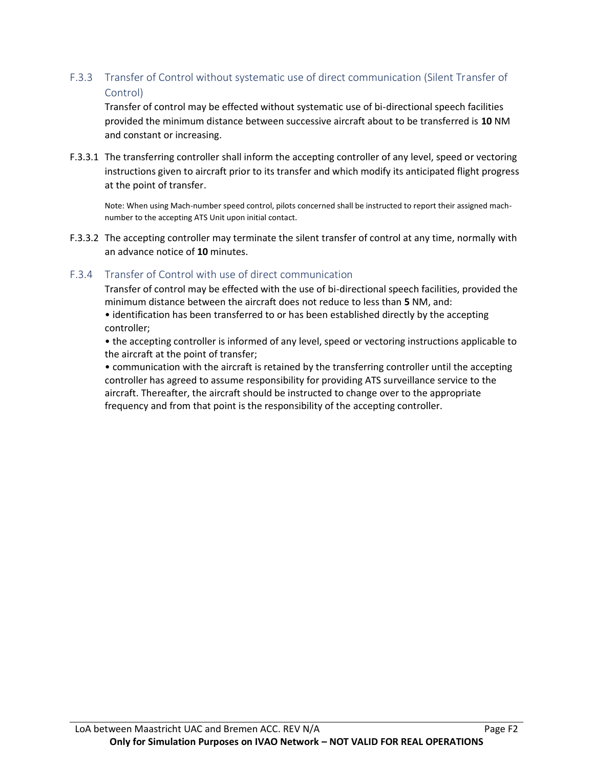### F.3.3 Transfer of Control without systematic use of direct communication (Silent Transfer of Control)

Transfer of control may be effected without systematic use of bi-directional speech facilities provided the minimum distance between successive aircraft about to be transferred is **10** NM and constant or increasing.

F.3.3.1 The transferring controller shall inform the accepting controller of any level, speed or vectoring instructions given to aircraft prior to its transfer and which modify its anticipated flight progress at the point of transfer.

Note: When using Mach-number speed control, pilots concerned shall be instructed to report their assigned machnumber to the accepting ATS Unit upon initial contact.

F.3.3.2 The accepting controller may terminate the silent transfer of control at any time, normally with an advance notice of **10** minutes.

### F.3.4 Transfer of Control with use of direct communication

Transfer of control may be effected with the use of bi-directional speech facilities, provided the minimum distance between the aircraft does not reduce to less than **5** NM, and:

• identification has been transferred to or has been established directly by the accepting controller;

• the accepting controller is informed of any level, speed or vectoring instructions applicable to the aircraft at the point of transfer;

• communication with the aircraft is retained by the transferring controller until the accepting controller has agreed to assume responsibility for providing ATS surveillance service to the aircraft. Thereafter, the aircraft should be instructed to change over to the appropriate frequency and from that point is the responsibility of the accepting controller.